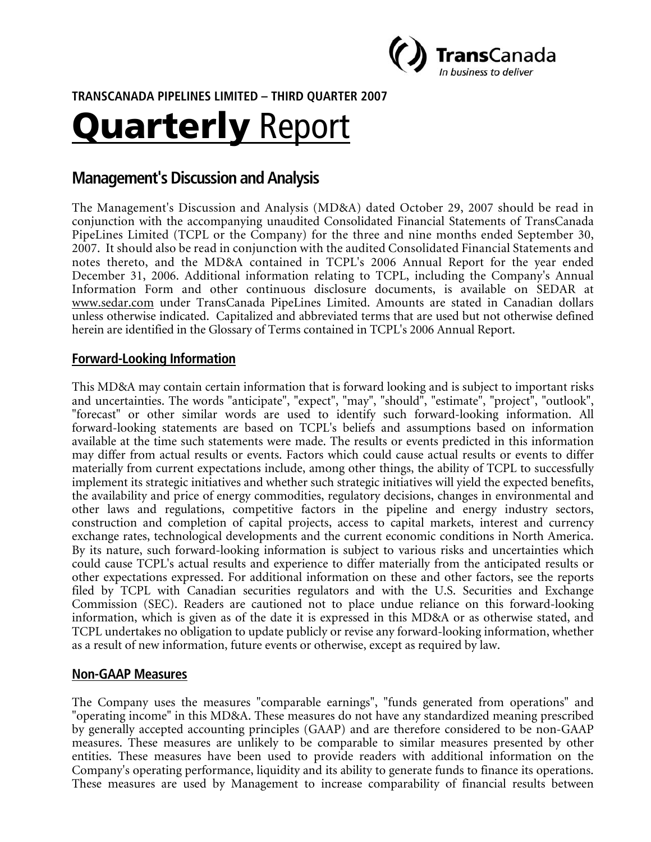

**TRANSCANADA PIPELINES LIMITED – THIRD QUARTER 2007** 

# Quarterly Report

# **Management's Discussion and Analysis**

The Management's Discussion and Analysis (MD&A) dated October 29, 2007 should be read in conjunction with the accompanying unaudited Consolidated Financial Statements of TransCanada PipeLines Limited (TCPL or the Company) for the three and nine months ended September 30, 2007. It should also be read in conjunction with the audited Consolidated Financial Statements and notes thereto, and the MD&A contained in TCPL's 2006 Annual Report for the year ended December 31, 2006. Additional information relating to TCPL, including the Company's Annual Information Form and other continuous disclosure documents, is available on SEDAR at www.sedar.com under TransCanada PipeLines Limited. Amounts are stated in Canadian dollars unless otherwise indicated. Capitalized and abbreviated terms that are used but not otherwise defined herein are identified in the Glossary of Terms contained in TCPL's 2006 Annual Report.

## **Forward-Looking Information**

This MD&A may contain certain information that is forward looking and is subject to important risks and uncertainties. The words "anticipate", "expect", "may", "should", "estimate", "project", "outlook", "forecast" or other similar words are used to identify such forward-looking information. All forward-looking statements are based on TCPL's beliefs and assumptions based on information available at the time such statements were made. The results or events predicted in this information may differ from actual results or events. Factors which could cause actual results or events to differ materially from current expectations include, among other things, the ability of TCPL to successfully implement its strategic initiatives and whether such strategic initiatives will yield the expected benefits, the availability and price of energy commodities, regulatory decisions, changes in environmental and other laws and regulations, competitive factors in the pipeline and energy industry sectors, construction and completion of capital projects, access to capital markets, interest and currency exchange rates, technological developments and the current economic conditions in North America. By its nature, such forward-looking information is subject to various risks and uncertainties which could cause TCPL's actual results and experience to differ materially from the anticipated results or other expectations expressed. For additional information on these and other factors, see the reports filed by TCPL with Canadian securities regulators and with the U.S. Securities and Exchange Commission (SEC). Readers are cautioned not to place undue reliance on this forward-looking information, which is given as of the date it is expressed in this MD&A or as otherwise stated, and TCPL undertakes no obligation to update publicly or revise any forward-looking information, whether as a result of new information, future events or otherwise, except as required by law.

#### **Non-GAAP Measures**

The Company uses the measures "comparable earnings", "funds generated from operations" and "operating income" in this MD&A. These measures do not have any standardized meaning prescribed by generally accepted accounting principles (GAAP) and are therefore considered to be non-GAAP measures. These measures are unlikely to be comparable to similar measures presented by other entities. These measures have been used to provide readers with additional information on the Company's operating performance, liquidity and its ability to generate funds to finance its operations. These measures are used by Management to increase comparability of financial results between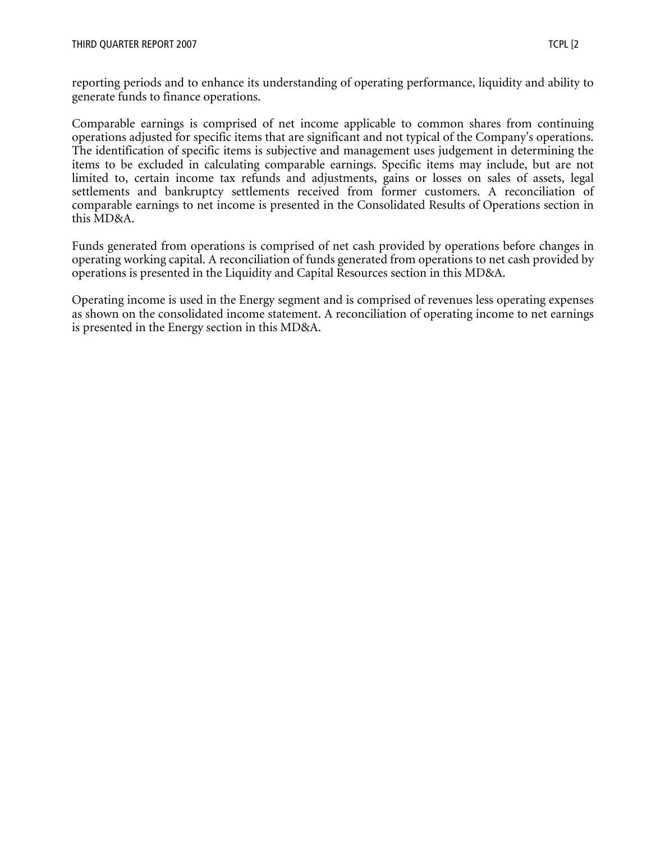reporting periods and to enhance its understanding of operating performance, liquidity and ability to generate funds to finance operations.

Comparable earnings is comprised of net income applicable to common shares from continuing operations adjusted for specific items that are significant and not typical of the Company's operations. The identification of specific items is subjective and management uses judgement in determining the items to be excluded in calculating comparable earnings. Specific items may include, but are not limited to, certain income tax refunds and adjustments, gains or losses on sales of assets, legal settlements and bankruptcy settlements received from former customers. A reconciliation of comparable earnings to net income is presented in the Consolidated Results of Operations section in this MD&A.

Funds generated from operations is comprised of net cash provided by operations before changes in operating working capital. A reconciliation of funds generated from operations to net cash provided by operations is presented in the Liquidity and Capital Resources section in this MD&A.

Operating income is used in the Energy segment and is comprised of revenues less operating expenses as shown on the consolidated income statement. A reconciliation of operating income to net earnings is presented in the Energy section in this MD&A.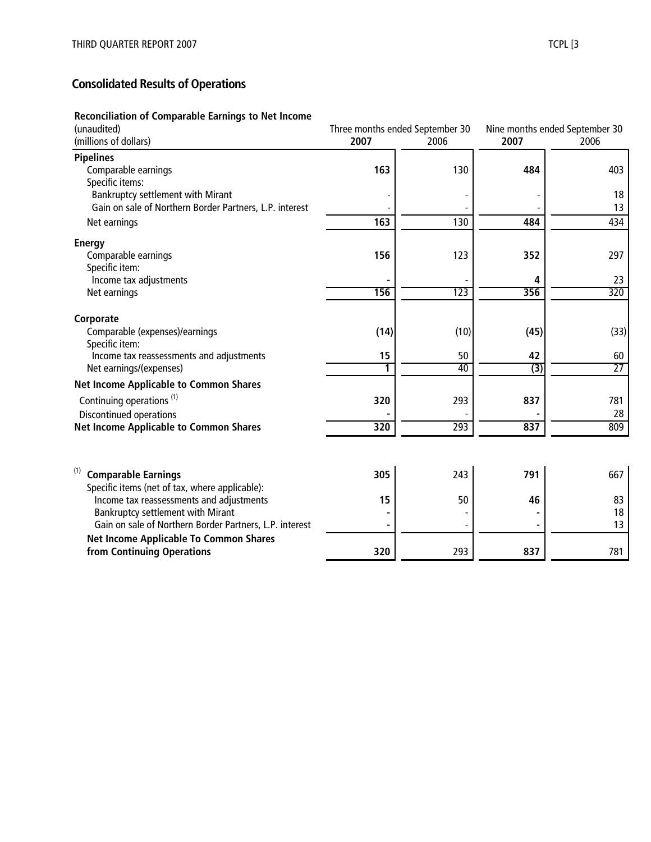# **Consolidated Results of Operations**

#### **Reconciliation of Comparable Earnings to Net Income**

| (unaudited)                                             | Three months ended September 30 |      | Nine months ended September 30 |                 |
|---------------------------------------------------------|---------------------------------|------|--------------------------------|-----------------|
| (millions of dollars)                                   | 2007                            | 2006 | 2007                           | 2006            |
| <b>Pipelines</b>                                        |                                 |      |                                |                 |
| Comparable earnings                                     | 163                             | 130  | 484                            | 403             |
| Specific items:<br>Bankruptcy settlement with Mirant    |                                 |      |                                | 18              |
| Gain on sale of Northern Border Partners, L.P. interest |                                 |      |                                | 13              |
| Net earnings                                            | 163                             | 130  | 484                            | 434             |
| <b>Energy</b>                                           |                                 |      |                                |                 |
| Comparable earnings                                     | 156                             | 123  | 352                            | 297             |
| Specific item:                                          |                                 |      |                                |                 |
| Income tax adjustments                                  |                                 |      | 4                              | 23              |
| Net earnings                                            | 156                             | 123  | 356                            | 320             |
| Corporate                                               |                                 |      |                                |                 |
| Comparable (expenses)/earnings<br>Specific item:        | (14)                            | (10) | (45)                           | (33)            |
| Income tax reassessments and adjustments                | 15                              | 50   | 42                             | 60              |
| Net earnings/(expenses)                                 | 1                               | 40   | $\overline{(3)}$               | $\overline{27}$ |
| <b>Net Income Applicable to Common Shares</b>           |                                 |      |                                |                 |
| Continuing operations <sup>(1)</sup>                    | 320                             | 293  | 837                            | 781             |
| Discontinued operations                                 |                                 |      |                                | 28              |
| <b>Net Income Applicable to Common Shares</b>           | 320                             | 293  | 837                            | 809             |
|                                                         |                                 |      |                                |                 |
| <b>Comparable Earnings</b>                              | 305                             | 243  | 791                            | 667             |
| Specific items (net of tax, where applicable):          |                                 |      |                                |                 |
| Income tax reassessments and adjustments                | 15                              | 50   | 46                             | 83              |
| Bankruptcy settlement with Mirant                       |                                 |      |                                | 18              |
| Gain on sale of Northern Border Partners, L.P. interest |                                 |      |                                | 13              |
| Net Income Applicable To Common Shares                  |                                 |      |                                |                 |
| from Continuing Operations                              | 320                             | 293  | 837                            | 781             |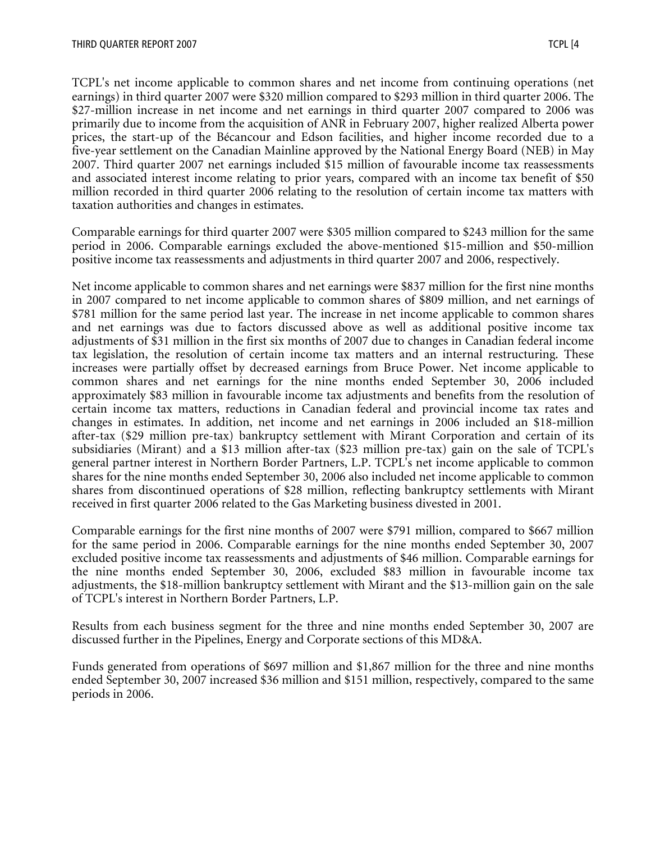TCPL's net income applicable to common shares and net income from continuing operations (net earnings) in third quarter 2007 were \$320 million compared to \$293 million in third quarter 2006. The \$27-million increase in net income and net earnings in third quarter 2007 compared to 2006 was primarily due to income from the acquisition of ANR in February 2007, higher realized Alberta power prices, the start-up of the Bécancour and Edson facilities, and higher income recorded due to a five-year settlement on the Canadian Mainline approved by the National Energy Board (NEB) in May 2007. Third quarter 2007 net earnings included \$15 million of favourable income tax reassessments and associated interest income relating to prior years, compared with an income tax benefit of \$50 million recorded in third quarter 2006 relating to the resolution of certain income tax matters with taxation authorities and changes in estimates.

Comparable earnings for third quarter 2007 were \$305 million compared to \$243 million for the same period in 2006. Comparable earnings excluded the above-mentioned \$15-million and \$50-million positive income tax reassessments and adjustments in third quarter 2007 and 2006, respectively.

Net income applicable to common shares and net earnings were \$837 million for the first nine months in 2007 compared to net income applicable to common shares of \$809 million, and net earnings of \$781 million for the same period last year. The increase in net income applicable to common shares and net earnings was due to factors discussed above as well as additional positive income tax adjustments of \$31 million in the first six months of 2007 due to changes in Canadian federal income tax legislation, the resolution of certain income tax matters and an internal restructuring. These increases were partially offset by decreased earnings from Bruce Power. Net income applicable to common shares and net earnings for the nine months ended September 30, 2006 included approximately \$83 million in favourable income tax adjustments and benefits from the resolution of certain income tax matters, reductions in Canadian federal and provincial income tax rates and changes in estimates. In addition, net income and net earnings in 2006 included an \$18-million after-tax (\$29 million pre-tax) bankruptcy settlement with Mirant Corporation and certain of its subsidiaries (Mirant) and a \$13 million after-tax (\$23 million pre-tax) gain on the sale of TCPL's general partner interest in Northern Border Partners, L.P. TCPL's net income applicable to common shares for the nine months ended September 30, 2006 also included net income applicable to common shares from discontinued operations of \$28 million, reflecting bankruptcy settlements with Mirant received in first quarter 2006 related to the Gas Marketing business divested in 2001.

Comparable earnings for the first nine months of 2007 were \$791 million, compared to \$667 million for the same period in 2006. Comparable earnings for the nine months ended September 30, 2007 excluded positive income tax reassessments and adjustments of \$46 million. Comparable earnings for the nine months ended September 30, 2006, excluded \$83 million in favourable income tax adjustments, the \$18-million bankruptcy settlement with Mirant and the \$13-million gain on the sale of TCPL's interest in Northern Border Partners, L.P.

Results from each business segment for the three and nine months ended September 30, 2007 are discussed further in the Pipelines, Energy and Corporate sections of this MD&A.

Funds generated from operations of \$697 million and \$1,867 million for the three and nine months ended September 30, 2007 increased \$36 million and \$151 million, respectively, compared to the same periods in 2006.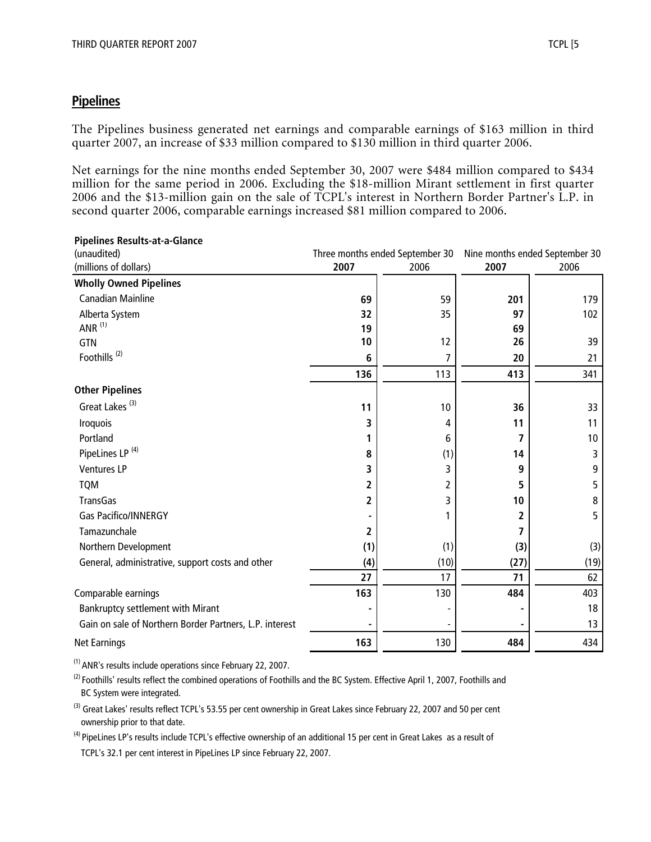# **Pipelines**

The Pipelines business generated net earnings and comparable earnings of \$163 million in third quarter 2007, an increase of \$33 million compared to \$130 million in third quarter 2006.

Net earnings for the nine months ended September 30, 2007 were \$484 million compared to \$434 million for the same period in 2006. Excluding the \$18-million Mirant settlement in first quarter 2006 and the \$13-million gain on the sale of TCPL's interest in Northern Border Partner's L.P. in second quarter 2006, comparable earnings increased \$81 million compared to 2006.

| <b>Pipelines Results-at-a-Glance</b>                    |      |                                 |      |                                |
|---------------------------------------------------------|------|---------------------------------|------|--------------------------------|
| (unaudited)                                             |      | Three months ended September 30 |      | Nine months ended September 30 |
| (millions of dollars)                                   | 2007 | 2006                            | 2007 | 2006                           |
| <b>Wholly Owned Pipelines</b>                           |      |                                 |      |                                |
| <b>Canadian Mainline</b>                                | 69   | 59                              | 201  | 179                            |
| Alberta System                                          | 32   | 35                              | 97   | 102                            |
| ANR $(1)$                                               | 19   |                                 | 69   |                                |
| GTN                                                     | 10   | 12                              | 26   | 39                             |
| Foothills <sup>(2)</sup>                                | 6    | 7                               | 20   | 21                             |
|                                                         | 136  | 113                             | 413  | 341                            |
| <b>Other Pipelines</b>                                  |      |                                 |      |                                |
| Great Lakes <sup>(3)</sup>                              | 11   | 10                              | 36   | 33                             |
| Iroquois                                                | 3    | 4                               | 11   | 11                             |
| Portland                                                |      | 6                               | 7    | 10                             |
| PipeLines LP <sup>(4)</sup>                             | 8    | (1)                             | 14   | 3                              |
| <b>Ventures LP</b>                                      | 3    | 3                               | 9    | 9                              |
| <b>TQM</b>                                              | 2    | 2                               | 5    | 5                              |
| TransGas                                                | 2    | 3                               | 10   | 8                              |
| <b>Gas Pacifico/INNERGY</b>                             |      |                                 | 2    | 5                              |
| Tamazunchale                                            | 2    |                                 |      |                                |
| Northern Development                                    | (1)  | (1)                             | (3)  | (3)                            |
| General, administrative, support costs and other        | (4)  | (10)                            | (27) | (19)                           |
|                                                         | 27   | 17                              | 71   | 62                             |
| Comparable earnings                                     | 163  | 130                             | 484  | 403                            |
| Bankruptcy settlement with Mirant                       |      |                                 |      | 18                             |
| Gain on sale of Northern Border Partners, L.P. interest |      |                                 |      | 13                             |
| <b>Net Earnings</b>                                     | 163  | 130                             | 484  | 434                            |

(1) ANR's results include operations since February 22, 2007.

<sup>(2)</sup> Foothills' results reflect the combined operations of Foothills and the BC System. Effective April 1, 2007, Foothills and BC System were integrated.

<sup>(3)</sup> Great Lakes' results reflect TCPL's 53.55 per cent ownership in Great Lakes since February 22, 2007 and 50 per cent ownership prior to that date.

<sup>(4)</sup> PipeLines LP's results include TCPL's effective ownership of an additional 15 per cent in Great Lakes as a result of TCPL's 32.1 per cent interest in PipeLines LP since February 22, 2007.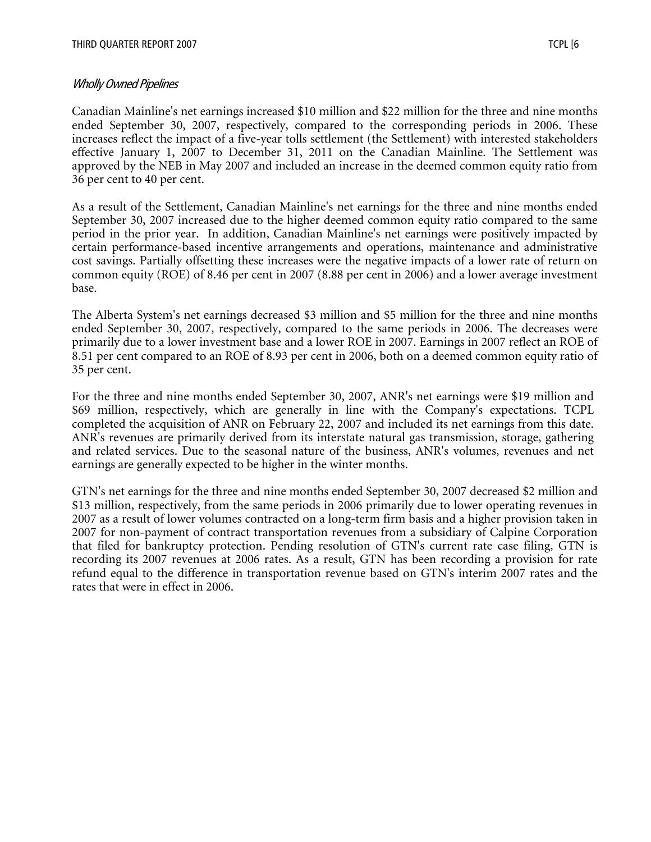Canadian Mainline's net earnings increased \$10 million and \$22 million for the three and nine months ended September 30, 2007, respectively, compared to the corresponding periods in 2006. These increases reflect the impact of a five-year tolls settlement (the Settlement) with interested stakeholders effective January 1, 2007 to December 31, 2011 on the Canadian Mainline. The Settlement was approved by the NEB in May 2007 and included an increase in the deemed common equity ratio from 36 per cent to 40 per cent.

As a result of the Settlement, Canadian Mainline's net earnings for the three and nine months ended September 30, 2007 increased due to the higher deemed common equity ratio compared to the same period in the prior year. In addition, Canadian Mainline's net earnings were positively impacted by certain performance-based incentive arrangements and operations, maintenance and administrative cost savings. Partially offsetting these increases were the negative impacts of a lower rate of return on common equity (ROE) of 8.46 per cent in 2007 (8.88 per cent in 2006) and a lower average investment base.

The Alberta System's net earnings decreased \$3 million and \$5 million for the three and nine months ended September 30, 2007, respectively, compared to the same periods in 2006. The decreases were primarily due to a lower investment base and a lower ROE in 2007. Earnings in 2007 reflect an ROE of 8.51 per cent compared to an ROE of 8.93 per cent in 2006, both on a deemed common equity ratio of 35 per cent.

For the three and nine months ended September 30, 2007, ANR's net earnings were \$19 million and \$69 million, respectively, which are generally in line with the Company's expectations. TCPL completed the acquisition of ANR on February 22, 2007 and included its net earnings from this date. ANR's revenues are primarily derived from its interstate natural gas transmission, storage, gathering and related services. Due to the seasonal nature of the business, ANR's volumes, revenues and net earnings are generally expected to be higher in the winter months.

GTN's net earnings for the three and nine months ended September 30, 2007 decreased \$2 million and \$13 million, respectively, from the same periods in 2006 primarily due to lower operating revenues in 2007 as a result of lower volumes contracted on a long-term firm basis and a higher provision taken in 2007 for non-payment of contract transportation revenues from a subsidiary of Calpine Corporation that filed for bankruptcy protection. Pending resolution of GTN's current rate case filing, GTN is recording its 2007 revenues at 2006 rates. As a result, GTN has been recording a provision for rate refund equal to the difference in transportation revenue based on GTN's interim 2007 rates and the rates that were in effect in 2006.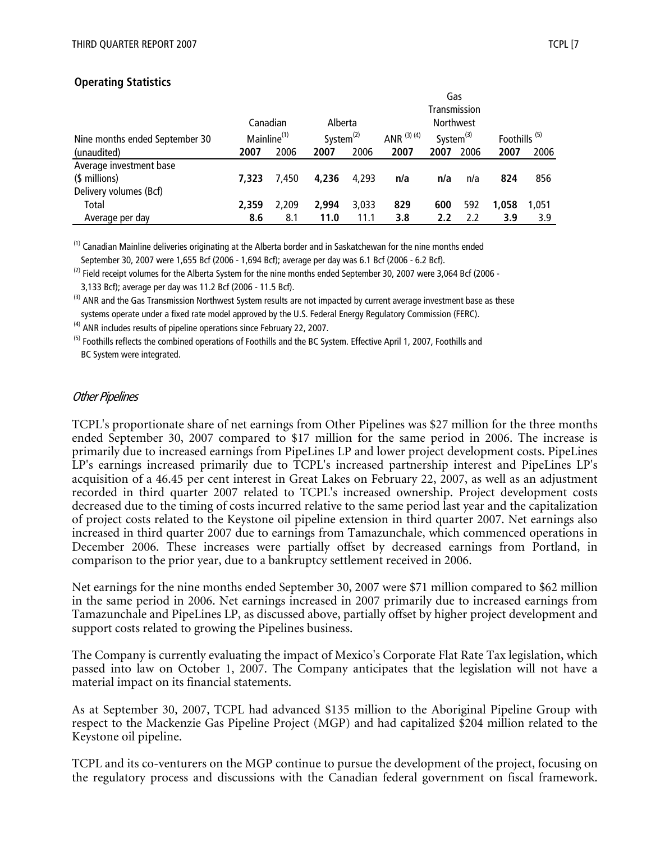#### **Operating Statistics**

|                                |                         |       |              |       |               | Gas              |      |                          |       |
|--------------------------------|-------------------------|-------|--------------|-------|---------------|------------------|------|--------------------------|-------|
|                                |                         |       |              |       |               | Transmission     |      |                          |       |
|                                | Canadian                |       | Alberta      |       |               | <b>Northwest</b> |      |                          |       |
| Nine months ended September 30 | Mainline <sup>(1)</sup> |       | System $(2)$ |       | ANR $(3)$ (4) | System $^{(3)}$  |      | Foothills <sup>(5)</sup> |       |
| (unaudited)                    | 2007                    | 2006  | 2007         | 2006  | 2007          | 2007             | 2006 | 2007                     | 2006  |
| Average investment base        |                         |       |              |       |               |                  |      |                          |       |
| (\$ millions)                  | 7.323                   | 7.450 | 4.236        | 4.293 | n/a           | n/a              | n/a  | 824                      | 856   |
| Delivery volumes (Bcf)         |                         |       |              |       |               |                  |      |                          |       |
| Total                          | 2,359                   | 2.209 | 2.994        | 3,033 | 829           | 600              | 592  | 1,058                    | 1.051 |
| Average per day                | 8.6                     | 8.1   | 11.0         | 11.1  | 3.8           | 2.2              | 2.2  | 3.9                      | 3.9   |

 $^{(1)}$  Canadian Mainline deliveries originating at the Alberta border and in Saskatchewan for the nine months ended September 30, 2007 were 1,655 Bcf (2006 - 1,694 Bcf); average per day was 6.1 Bcf (2006 - 6.2 Bcf).

 $^{(2)}$  Field receipt volumes for the Alberta System for the nine months ended September 30, 2007 were 3,064 Bcf (2006 -3,133 Bcf); average per day was 11.2 Bcf (2006 - 11.5 Bcf).

<sup>(3)</sup> ANR and the Gas Transmission Northwest System results are not impacted by current average investment base as these systems operate under a fixed rate model approved by the U.S. Federal Energy Regulatory Commission (FERC).

 $<sup>(4)</sup>$  ANR includes results of pipeline operations since February 22, 2007.</sup>

<sup>(5)</sup> Foothills reflects the combined operations of Foothills and the BC System. Effective April 1, 2007, Foothills and BC System were integrated.

#### Other Pipelines

TCPL's proportionate share of net earnings from Other Pipelines was \$27 million for the three months ended September 30, 2007 compared to \$17 million for the same period in 2006. The increase is primarily due to increased earnings from PipeLines LP and lower project development costs. PipeLines LP's earnings increased primarily due to TCPL's increased partnership interest and PipeLines LP's acquisition of a 46.45 per cent interest in Great Lakes on February 22, 2007, as well as an adjustment recorded in third quarter 2007 related to TCPL's increased ownership. Project development costs decreased due to the timing of costs incurred relative to the same period last year and the capitalization of project costs related to the Keystone oil pipeline extension in third quarter 2007. Net earnings also increased in third quarter 2007 due to earnings from Tamazunchale, which commenced operations in December 2006. These increases were partially offset by decreased earnings from Portland, in comparison to the prior year, due to a bankruptcy settlement received in 2006.

Net earnings for the nine months ended September 30, 2007 were \$71 million compared to \$62 million in the same period in 2006. Net earnings increased in 2007 primarily due to increased earnings from Tamazunchale and PipeLines LP, as discussed above, partially offset by higher project development and support costs related to growing the Pipelines business.

The Company is currently evaluating the impact of Mexico's Corporate Flat Rate Tax legislation, which passed into law on October 1, 2007. The Company anticipates that the legislation will not have a material impact on its financial statements.

As at September 30, 2007, TCPL had advanced \$135 million to the Aboriginal Pipeline Group with respect to the Mackenzie Gas Pipeline Project (MGP) and had capitalized \$204 million related to the Keystone oil pipeline.

TCPL and its co-venturers on the MGP continue to pursue the development of the project, focusing on the regulatory process and discussions with the Canadian federal government on fiscal framework.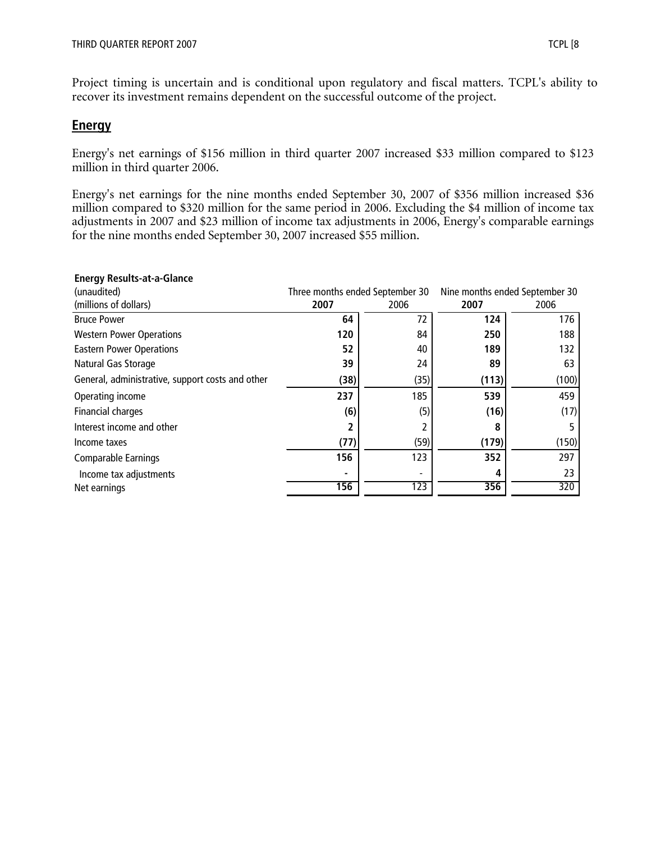Project timing is uncertain and is conditional upon regulatory and fiscal matters. TCPL's ability to recover its investment remains dependent on the successful outcome of the project.

#### **Energy**

Energy's net earnings of \$156 million in third quarter 2007 increased \$33 million compared to \$123 million in third quarter 2006.

Energy's net earnings for the nine months ended September 30, 2007 of \$356 million increased \$36 million compared to \$320 million for the same period in 2006. Excluding the \$4 million of income tax adjustments in 2007 and \$23 million of income tax adjustments in 2006, Energy's comparable earnings for the nine months ended September 30, 2007 increased \$55 million.

| Lileryy Results-at-a-Gialice                     |                                 |      |                                |       |
|--------------------------------------------------|---------------------------------|------|--------------------------------|-------|
| (unaudited)                                      | Three months ended September 30 |      | Nine months ended September 30 |       |
| (millions of dollars)                            | 2007                            | 2006 | 2007                           | 2006  |
| <b>Bruce Power</b>                               | 64                              | 72   | 124                            | 176   |
| <b>Western Power Operations</b>                  | 120                             | 84   | 250                            | 188   |
| <b>Eastern Power Operations</b>                  | 52                              | 40   | 189                            | 132   |
| Natural Gas Storage                              | 39                              | 24   | 89                             | 63    |
| General, administrative, support costs and other | (38)                            | (35) | (113)                          | (100) |
| Operating income                                 | 237                             | 185  | 539                            | 459   |
| Financial charges                                | (6)                             | (5)  | (16)                           | (17)  |
| Interest income and other                        |                                 |      | 8                              |       |
| Income taxes                                     | (77)                            | (59) | (179)                          | (150) |
| Comparable Earnings                              | 156                             | 123  | 352                            | 297   |
| Income tax adjustments                           |                                 |      |                                | 23    |
| Net earnings                                     | 156                             | 123  | 356                            | 320   |

#### **Energy Results-at-a-Glance**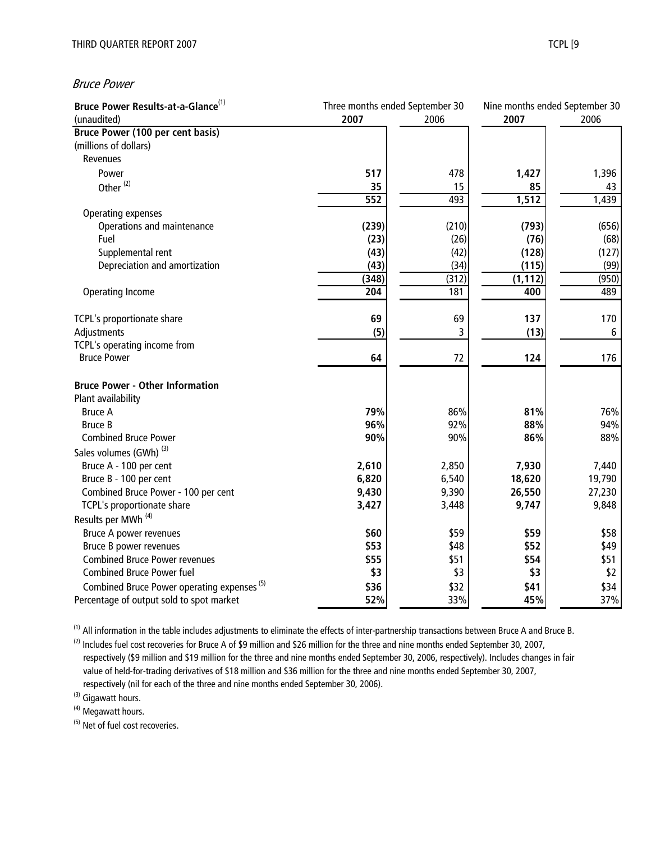#### Bruce Power

| Bruce Power Results-at-a-Glance <sup>(1)</sup>         | Three months ended September 30 |       | Nine months ended September 30 |        |
|--------------------------------------------------------|---------------------------------|-------|--------------------------------|--------|
| (unaudited)                                            | 2007                            | 2006  | 2007                           | 2006   |
| <b>Bruce Power (100 per cent basis)</b>                |                                 |       |                                |        |
| (millions of dollars)                                  |                                 |       |                                |        |
| Revenues                                               |                                 |       |                                |        |
| Power                                                  | 517                             | 478   | 1,427                          | 1,396  |
| Other <sup>(2)</sup>                                   | 35                              | 15    | 85                             | 43     |
|                                                        | $\overline{552}$                | 493   | 1,512                          | 1,439  |
| Operating expenses                                     |                                 |       |                                |        |
| Operations and maintenance                             | (239)                           | (210) | (793)                          | (656)  |
| Fuel                                                   | (23)                            | (26)  | (76)                           | (68)   |
| Supplemental rent                                      | (43)                            | (42)  | (128)                          | (127)  |
| Depreciation and amortization                          | (43)                            | (34)  | (115)                          | (99)   |
|                                                        | (348)                           | (312) | (1, 112)                       | (950)  |
| <b>Operating Income</b>                                | $\overline{204}$                | 181   | 400                            | 489    |
|                                                        |                                 |       |                                |        |
| TCPL's proportionate share                             | 69                              | 69    | 137                            | 170    |
| Adjustments                                            | (5)                             | 3     | (13)                           | 6      |
| TCPL's operating income from                           |                                 |       |                                |        |
| <b>Bruce Power</b>                                     | 64                              | 72    | 124                            | 176    |
| <b>Bruce Power - Other Information</b>                 |                                 |       |                                |        |
| Plant availability                                     |                                 |       |                                |        |
| <b>Bruce A</b>                                         | 79%                             | 86%   | 81%                            | 76%    |
| <b>Bruce B</b>                                         | 96%                             | 92%   | 88%                            | 94%    |
| <b>Combined Bruce Power</b>                            | 90%                             | 90%   | 86%                            | 88%    |
| Sales volumes (GWh) <sup>(3)</sup>                     |                                 |       |                                |        |
| Bruce A - 100 per cent                                 | 2,610                           | 2,850 | 7,930                          | 7,440  |
| Bruce B - 100 per cent                                 | 6,820                           | 6,540 | 18,620                         | 19,790 |
| Combined Bruce Power - 100 per cent                    | 9,430                           | 9,390 | 26,550                         | 27,230 |
| TCPL's proportionate share                             | 3,427                           | 3,448 | 9,747                          | 9,848  |
| Results per MWh <sup>(4)</sup>                         |                                 |       |                                |        |
| Bruce A power revenues                                 | \$60                            | \$59  | \$59                           | \$58   |
| Bruce B power revenues                                 | \$53                            | \$48  | \$52                           | \$49   |
| <b>Combined Bruce Power revenues</b>                   | \$55                            | \$51  | \$54                           | \$51   |
| <b>Combined Bruce Power fuel</b>                       | \$3                             | \$3   | \$3                            | \$2    |
| Combined Bruce Power operating expenses <sup>(5)</sup> | \$36                            | \$32  | \$41                           | \$34   |
| Percentage of output sold to spot market               | 52%                             | 33%   | 45%                            | 37%    |

(1) All information in the table includes adjustments to eliminate the effects of inter-partnership transactions between Bruce A and Bruce B.

<sup>(2)</sup> Includes fuel cost recoveries for Bruce A of \$9 million and \$26 million for the three and nine months ended September 30, 2007, respectively (\$9 million and \$19 million for the three and nine months ended September 30, 2006, respectively). Includes changes in fair value of held-for-trading derivatives of \$18 million and \$36 million for the three and nine months ended September 30, 2007, respectively (nil for each of the three and nine months ended September 30, 2006).

<sup>(3)</sup> Gigawatt hours.

<sup>(4)</sup> Megawatt hours.

<sup>(5)</sup> Net of fuel cost recoveries.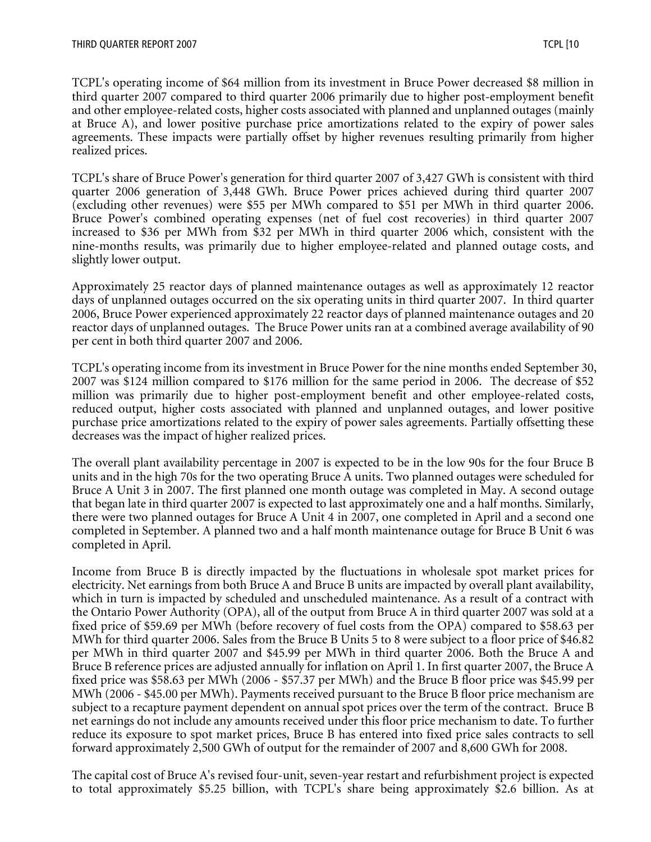TCPL's operating income of \$64 million from its investment in Bruce Power decreased \$8 million in third quarter 2007 compared to third quarter 2006 primarily due to higher post-employment benefit and other employee-related costs, higher costs associated with planned and unplanned outages (mainly at Bruce A), and lower positive purchase price amortizations related to the expiry of power sales agreements. These impacts were partially offset by higher revenues resulting primarily from higher realized prices.

TCPL's share of Bruce Power's generation for third quarter 2007 of 3,427 GWh is consistent with third quarter 2006 generation of 3,448 GWh. Bruce Power prices achieved during third quarter 2007 (excluding other revenues) were \$55 per MWh compared to \$51 per MWh in third quarter 2006. Bruce Power's combined operating expenses (net of fuel cost recoveries) in third quarter 2007 increased to \$36 per MWh from \$32 per MWh in third quarter 2006 which, consistent with the nine-months results, was primarily due to higher employee-related and planned outage costs, and slightly lower output.

Approximately 25 reactor days of planned maintenance outages as well as approximately 12 reactor days of unplanned outages occurred on the six operating units in third quarter 2007. In third quarter 2006, Bruce Power experienced approximately 22 reactor days of planned maintenance outages and 20 reactor days of unplanned outages. The Bruce Power units ran at a combined average availability of 90 per cent in both third quarter 2007 and 2006.

TCPL's operating income from its investment in Bruce Power for the nine months ended September 30, 2007 was \$124 million compared to \$176 million for the same period in 2006. The decrease of \$52 million was primarily due to higher post-employment benefit and other employee-related costs, reduced output, higher costs associated with planned and unplanned outages, and lower positive purchase price amortizations related to the expiry of power sales agreements. Partially offsetting these decreases was the impact of higher realized prices.

The overall plant availability percentage in 2007 is expected to be in the low 90s for the four Bruce B units and in the high 70s for the two operating Bruce A units. Two planned outages were scheduled for Bruce A Unit 3 in 2007. The first planned one month outage was completed in May. A second outage that began late in third quarter 2007 is expected to last approximately one and a half months. Similarly, there were two planned outages for Bruce A Unit 4 in 2007, one completed in April and a second one completed in September. A planned two and a half month maintenance outage for Bruce B Unit 6 was completed in April.

Income from Bruce B is directly impacted by the fluctuations in wholesale spot market prices for electricity. Net earnings from both Bruce A and Bruce B units are impacted by overall plant availability, which in turn is impacted by scheduled and unscheduled maintenance. As a result of a contract with the Ontario Power Authority (OPA), all of the output from Bruce A in third quarter 2007 was sold at a fixed price of \$59.69 per MWh (before recovery of fuel costs from the OPA) compared to \$58.63 per MWh for third quarter 2006. Sales from the Bruce B Units 5 to 8 were subject to a floor price of \$46.82 per MWh in third quarter 2007 and \$45.99 per MWh in third quarter 2006. Both the Bruce A and Bruce B reference prices are adjusted annually for inflation on April 1. In first quarter 2007, the Bruce A fixed price was \$58.63 per MWh (2006 - \$57.37 per MWh) and the Bruce B floor price was \$45.99 per MWh (2006 - \$45.00 per MWh). Payments received pursuant to the Bruce B floor price mechanism are subject to a recapture payment dependent on annual spot prices over the term of the contract. Bruce B net earnings do not include any amounts received under this floor price mechanism to date. To further reduce its exposure to spot market prices, Bruce B has entered into fixed price sales contracts to sell forward approximately 2,500 GWh of output for the remainder of 2007 and 8,600 GWh for 2008.

The capital cost of Bruce A's revised four-unit, seven-year restart and refurbishment project is expected to total approximately \$5.25 billion, with TCPL's share being approximately \$2.6 billion. As at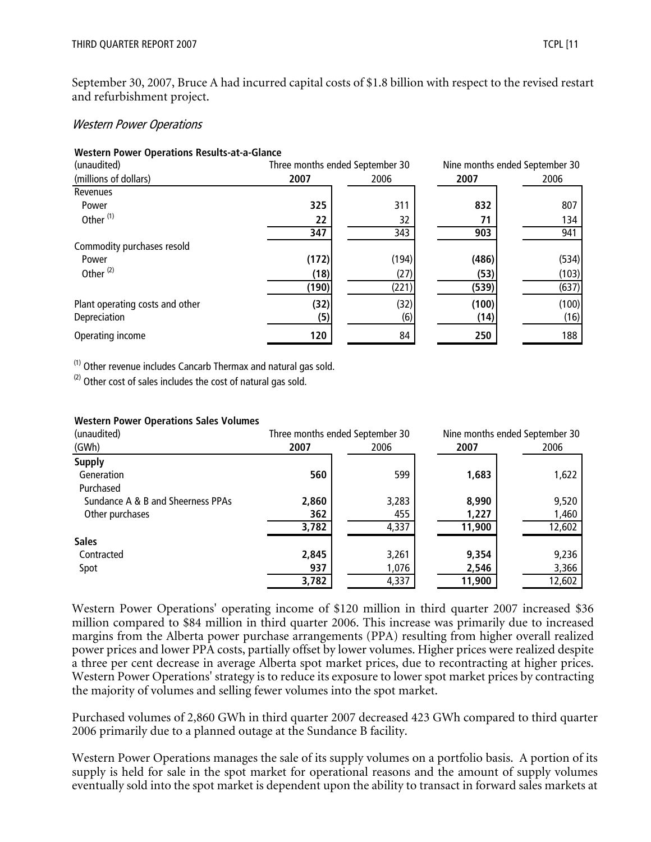September 30, 2007, Bruce A had incurred capital costs of \$1.8 billion with respect to the revised restart and refurbishment project.

#### Western Power Operations

#### **Western Power Operations Results-at-a-Glance**

| (unaudited)                     | Three months ended September 30 |       |       | Nine months ended September 30 |
|---------------------------------|---------------------------------|-------|-------|--------------------------------|
| (millions of dollars)           | 2007                            | 2006  | 2007  | 2006                           |
| Revenues                        |                                 |       |       |                                |
| Power                           | 325                             | 311   | 832   | 807                            |
| Other <sup>(1)</sup>            | 22                              | 32    | 71    | 134                            |
|                                 | 347                             | 343   | 903   | 941                            |
| Commodity purchases resold      |                                 |       |       |                                |
| Power                           | (172)                           | (194) | (486) | (534)                          |
| Other <sup>(2)</sup>            | (18)                            | (27)  | (53)  | (103)                          |
|                                 | (190)                           | (221) | (539) | (637)                          |
| Plant operating costs and other | (32)                            | (32)  | (100) | (100)                          |
| Depreciation                    | (5)                             | (6)   | (14)  | (16)                           |
| Operating income                | 120                             | 84    | 250   | 188                            |

(1) Other revenue includes Cancarb Thermax and natural gas sold.

 $(2)$  Other cost of sales includes the cost of natural gas sold.

#### **Western Power Operations Sales Volumes**

| (unaudited)                       |       | Three months ended September 30 | Nine months ended September 30 |        |
|-----------------------------------|-------|---------------------------------|--------------------------------|--------|
| (GWh)                             | 2007  | 2006                            | 2007                           | 2006   |
| <b>Supply</b>                     |       |                                 |                                |        |
| Generation                        | 560   | 599                             | 1,683                          | 1,622  |
| Purchased                         |       |                                 |                                |        |
| Sundance A & B and Sheerness PPAs | 2,860 | 3,283                           | 8,990                          | 9,520  |
| Other purchases                   | 362   | 455                             | 1,227                          | 1,460  |
|                                   | 3,782 | 4,337                           | 11,900                         | 12,602 |
| <b>Sales</b>                      |       |                                 |                                |        |
| Contracted                        | 2,845 | 3,261                           | 9,354                          | 9,236  |
| Spot                              | 937   | 1,076                           | 2,546                          | 3,366  |
|                                   | 3,782 | 4,337                           | 11,900                         | 12,602 |

Western Power Operations' operating income of \$120 million in third quarter 2007 increased \$36 million compared to \$84 million in third quarter 2006. This increase was primarily due to increased margins from the Alberta power purchase arrangements (PPA) resulting from higher overall realized power prices and lower PPA costs, partially offset by lower volumes. Higher prices were realized despite a three per cent decrease in average Alberta spot market prices, due to recontracting at higher prices. Western Power Operations' strategy is to reduce its exposure to lower spot market prices by contracting the majority of volumes and selling fewer volumes into the spot market.

Purchased volumes of 2,860 GWh in third quarter 2007 decreased 423 GWh compared to third quarter 2006 primarily due to a planned outage at the Sundance B facility.

Western Power Operations manages the sale of its supply volumes on a portfolio basis. A portion of its supply is held for sale in the spot market for operational reasons and the amount of supply volumes eventually sold into the spot market is dependent upon the ability to transact in forward sales markets at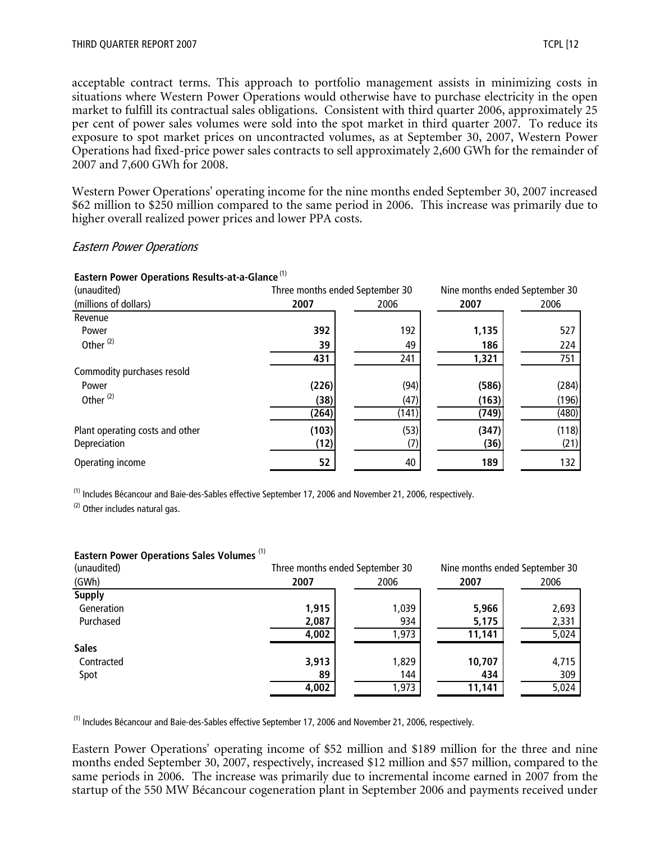acceptable contract terms. This approach to portfolio management assists in minimizing costs in situations where Western Power Operations would otherwise have to purchase electricity in the open market to fulfill its contractual sales obligations. Consistent with third quarter 2006, approximately 25 per cent of power sales volumes were sold into the spot market in third quarter 2007. To reduce its exposure to spot market prices on uncontracted volumes, as at September 30, 2007, Western Power Operations had fixed-price power sales contracts to sell approximately 2,600 GWh for the remainder of 2007 and 7,600 GWh for 2008.

Western Power Operations' operating income for the nine months ended September 30, 2007 increased \$62 million to \$250 million compared to the same period in 2006. This increase was primarily due to higher overall realized power prices and lower PPA costs.

#### Eastern Power Operations

| Lastern Tower Operations Results-at-a-Giance |       |                                 |       |                                |
|----------------------------------------------|-------|---------------------------------|-------|--------------------------------|
| (unaudited)                                  |       | Three months ended September 30 |       | Nine months ended September 30 |
| (millions of dollars)                        | 2007  | 2006                            | 2007  | 2006                           |
| Revenue                                      |       |                                 |       |                                |
| Power                                        | 392   | 192                             | 1,135 | 527                            |
| Other <sup>(2)</sup>                         | 39    | 49                              | 186   | 224                            |
|                                              | 431   | 241                             | 1,321 | 751                            |
| Commodity purchases resold                   |       |                                 |       |                                |
| Power                                        | (226) | (94)                            | (586) | (284)                          |
| Other <sup>(2)</sup>                         | (38)  | (47)                            | (163) | (196)                          |
|                                              | (264) | (141)                           | (749) | (480)                          |
| Plant operating costs and other              | (103) | (53)                            | (347) | (118)                          |
| Depreciation                                 | (12)  | (7)                             | (36)  | (21)                           |
| Operating income                             | 52    | 40                              | 189   | 132                            |

#### **Eastern Power Operations Results-at-a-Glance** (1)

(1) Includes Bécancour and Baie-des-Sables effective September 17, 2006 and November 21, 2006, respectively.

(2) Other includes natural gas.

#### **Eastern Power Operations Sales Volumes** (1)

| (unaudited)   |       | Three months ended September 30 | Nine months ended September 30 |       |
|---------------|-------|---------------------------------|--------------------------------|-------|
| (GWh)         | 2007  | 2006                            | 2007                           | 2006  |
| <b>Supply</b> |       |                                 |                                |       |
| Generation    | 1,915 | 1,039                           | 5,966                          | 2,693 |
| Purchased     | 2,087 | 934                             | 5,175                          | 2,331 |
|               | 4,002 | 1,973                           | 11,141                         | 5,024 |
| <b>Sales</b>  |       |                                 |                                |       |
| Contracted    | 3,913 | 1,829                           | 10,707                         | 4,715 |
| Spot          | 89    | 144                             | 434                            | 309   |
|               | 4,002 | 1,973                           | 11,141                         | 5,024 |

(1) Includes Bécancour and Baie-des-Sables effective September 17, 2006 and November 21, 2006, respectively.

Eastern Power Operations' operating income of \$52 million and \$189 million for the three and nine months ended September 30, 2007, respectively, increased \$12 million and \$57 million, compared to the same periods in 2006. The increase was primarily due to incremental income earned in 2007 from the startup of the 550 MW Bécancour cogeneration plant in September 2006 and payments received under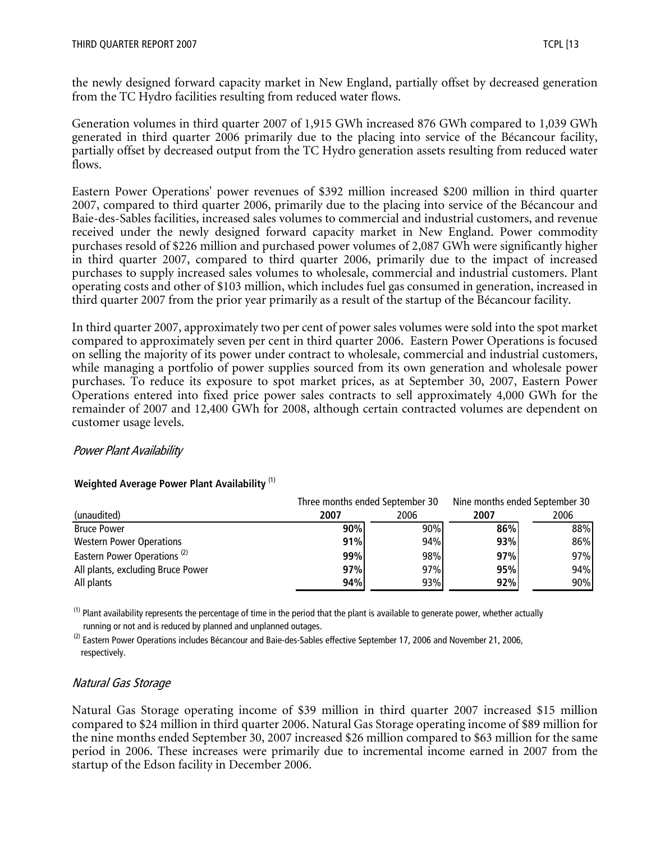the newly designed forward capacity market in New England, partially offset by decreased generation from the TC Hydro facilities resulting from reduced water flows.

Generation volumes in third quarter 2007 of 1,915 GWh increased 876 GWh compared to 1,039 GWh generated in third quarter 2006 primarily due to the placing into service of the Bécancour facility, partially offset by decreased output from the TC Hydro generation assets resulting from reduced water flows.

Eastern Power Operations' power revenues of \$392 million increased \$200 million in third quarter 2007, compared to third quarter 2006, primarily due to the placing into service of the Bécancour and Baie-des-Sables facilities, increased sales volumes to commercial and industrial customers, and revenue received under the newly designed forward capacity market in New England. Power commodity purchases resold of \$226 million and purchased power volumes of 2,087 GWh were significantly higher in third quarter 2007, compared to third quarter 2006, primarily due to the impact of increased purchases to supply increased sales volumes to wholesale, commercial and industrial customers. Plant operating costs and other of \$103 million, which includes fuel gas consumed in generation, increased in third quarter 2007 from the prior year primarily as a result of the startup of the Bécancour facility.

In third quarter 2007, approximately two per cent of power sales volumes were sold into the spot market compared to approximately seven per cent in third quarter 2006. Eastern Power Operations is focused on selling the majority of its power under contract to wholesale, commercial and industrial customers, while managing a portfolio of power supplies sourced from its own generation and wholesale power purchases. To reduce its exposure to spot market prices, as at September 30, 2007, Eastern Power Operations entered into fixed price power sales contracts to sell approximately 4,000 GWh for the remainder of 2007 and 12,400 GWh for 2008, although certain contracted volumes are dependent on customer usage levels.

#### Power Plant Availability

#### **Weighted Average Power Plant Availability** (1)

|                                         | Three months ended September 30 |      | Nine months ended September 30 |      |
|-----------------------------------------|---------------------------------|------|--------------------------------|------|
| (unaudited)                             | 2007                            | 2006 | 2007                           | 2006 |
| <b>Bruce Power</b>                      | 90%                             | 90%  | 86%                            | 88%  |
| <b>Western Power Operations</b>         | 91%                             | 94%  | 93%                            | 86%  |
| Eastern Power Operations <sup>(2)</sup> | 99%                             | 98%  | 97%                            | 97%  |
| All plants, excluding Bruce Power       | 97%                             | 97%  | 95%                            | 94%  |
| All plants                              | 94%                             | 93%  | 92%                            | 90%  |

 $<sup>(1)</sup>$  Plant availability represents the percentage of time in the period that the plant is available to generate power, whether actually</sup> running or not and is reduced by planned and unplanned outages.

 $^{(2)}$  Eastern Power Operations includes Bécancour and Baie-des-Sables effective September 17, 2006 and November 21, 2006, respectively.

#### Natural Gas Storage

Natural Gas Storage operating income of \$39 million in third quarter 2007 increased \$15 million compared to \$24 million in third quarter 2006. Natural Gas Storage operating income of \$89 million for the nine months ended September 30, 2007 increased \$26 million compared to \$63 million for the same period in 2006. These increases were primarily due to incremental income earned in 2007 from the startup of the Edson facility in December 2006.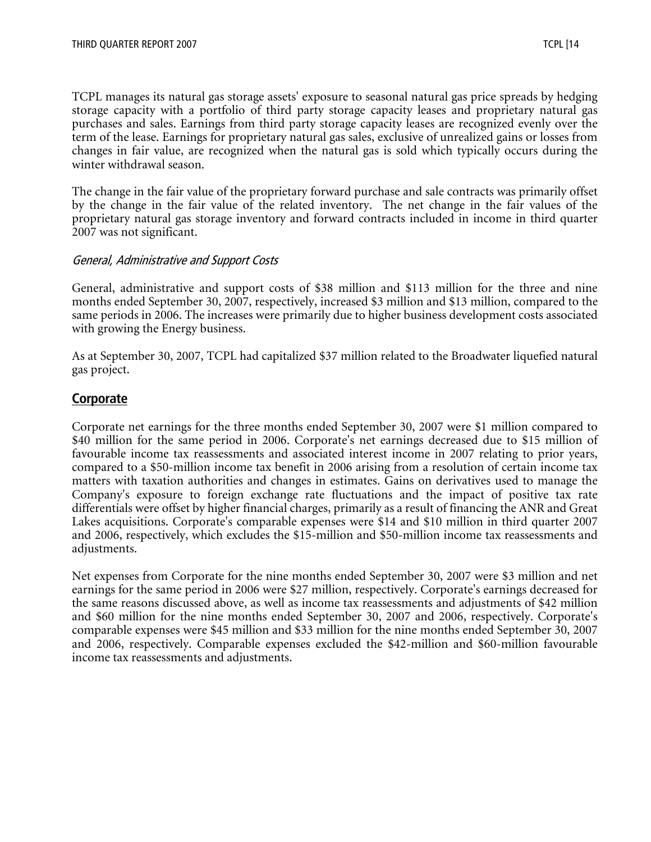TCPL manages its natural gas storage assets' exposure to seasonal natural gas price spreads by hedging storage capacity with a portfolio of third party storage capacity leases and proprietary natural gas purchases and sales. Earnings from third party storage capacity leases are recognized evenly over the term of the lease. Earnings for proprietary natural gas sales, exclusive of unrealized gains or losses from changes in fair value, are recognized when the natural gas is sold which typically occurs during the winter withdrawal season.

The change in the fair value of the proprietary forward purchase and sale contracts was primarily offset by the change in the fair value of the related inventory. The net change in the fair values of the proprietary natural gas storage inventory and forward contracts included in income in third quarter 2007 was not significant.

#### General, Administrative and Support Costs

General, administrative and support costs of \$38 million and \$113 million for the three and nine months ended September 30, 2007, respectively, increased \$3 million and \$13 million, compared to the same periods in 2006. The increases were primarily due to higher business development costs associated with growing the Energy business.

As at September 30, 2007, TCPL had capitalized \$37 million related to the Broadwater liquefied natural gas project.

#### **Corporate**

Corporate net earnings for the three months ended September 30, 2007 were \$1 million compared to \$40 million for the same period in 2006. Corporate's net earnings decreased due to \$15 million of favourable income tax reassessments and associated interest income in 2007 relating to prior years, compared to a \$50-million income tax benefit in 2006 arising from a resolution of certain income tax matters with taxation authorities and changes in estimates. Gains on derivatives used to manage the Company's exposure to foreign exchange rate fluctuations and the impact of positive tax rate differentials were offset by higher financial charges, primarily as a result of financing the ANR and Great Lakes acquisitions. Corporate's comparable expenses were \$14 and \$10 million in third quarter 2007 and 2006, respectively, which excludes the \$15-million and \$50-million income tax reassessments and adjustments.

Net expenses from Corporate for the nine months ended September 30, 2007 were \$3 million and net earnings for the same period in 2006 were \$27 million, respectively. Corporate's earnings decreased for the same reasons discussed above, as well as income tax reassessments and adjustments of \$42 million and \$60 million for the nine months ended September 30, 2007 and 2006, respectively. Corporate's comparable expenses were \$45 million and \$33 million for the nine months ended September 30, 2007 and 2006, respectively. Comparable expenses excluded the \$42-million and \$60-million favourable income tax reassessments and adjustments.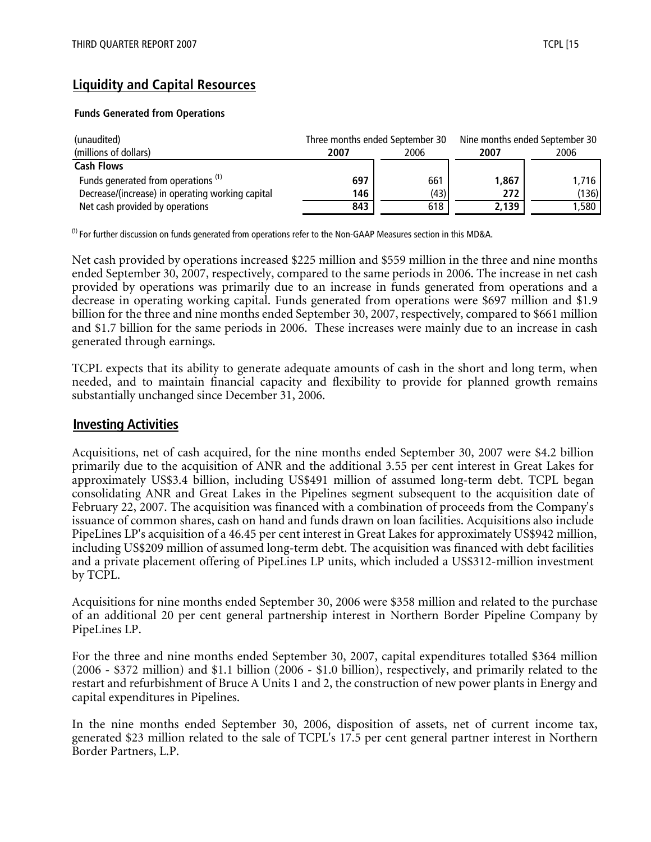# **Liquidity and Capital Resources**

#### **Funds Generated from Operations**

| (unaudited)                                      |              | Three months ended September 30 | Nine months ended September 30 |       |  |
|--------------------------------------------------|--------------|---------------------------------|--------------------------------|-------|--|
| (millions of dollars)                            | 2006<br>2007 |                                 | 2007                           | 2006  |  |
| <b>Cash Flows</b>                                |              |                                 |                                |       |  |
| Funds generated from operations <sup>(1)</sup>   | 697          | 661                             | 1,867                          | 1,716 |  |
| Decrease/(increase) in operating working capital | 146          | (43)                            | 272                            | (136) |  |
| Net cash provided by operations                  | 843          | 618                             | 2,139                          | 1,580 |  |

 $^{(1)}$  For further discussion on funds generated from operations refer to the Non-GAAP Measures section in this MD&A.

Net cash provided by operations increased \$225 million and \$559 million in the three and nine months ended September 30, 2007, respectively, compared to the same periods in 2006. The increase in net cash provided by operations was primarily due to an increase in funds generated from operations and a decrease in operating working capital. Funds generated from operations were \$697 million and \$1.9 billion for the three and nine months ended September 30, 2007, respectively, compared to \$661 million and \$1.7 billion for the same periods in 2006. These increases were mainly due to an increase in cash generated through earnings.

TCPL expects that its ability to generate adequate amounts of cash in the short and long term, when needed, and to maintain financial capacity and flexibility to provide for planned growth remains substantially unchanged since December 31, 2006.

#### **Investing Activities**

Acquisitions, net of cash acquired, for the nine months ended September 30, 2007 were \$4.2 billion primarily due to the acquisition of ANR and the additional 3.55 per cent interest in Great Lakes for approximately US\$3.4 billion, including US\$491 million of assumed long-term debt. TCPL began consolidating ANR and Great Lakes in the Pipelines segment subsequent to the acquisition date of February 22, 2007. The acquisition was financed with a combination of proceeds from the Company's issuance of common shares, cash on hand and funds drawn on loan facilities. Acquisitions also include PipeLines LP's acquisition of a 46.45 per cent interest in Great Lakes for approximately US\$942 million, including US\$209 million of assumed long-term debt. The acquisition was financed with debt facilities and a private placement offering of PipeLines LP units, which included a US\$312-million investment by TCPL.

Acquisitions for nine months ended September 30, 2006 were \$358 million and related to the purchase of an additional 20 per cent general partnership interest in Northern Border Pipeline Company by PipeLines LP.

For the three and nine months ended September 30, 2007, capital expenditures totalled \$364 million (2006 - \$372 million) and \$1.1 billion (2006 - \$1.0 billion), respectively, and primarily related to the restart and refurbishment of Bruce A Units 1 and 2, the construction of new power plants in Energy and capital expenditures in Pipelines.

In the nine months ended September 30, 2006, disposition of assets, net of current income tax, generated \$23 million related to the sale of TCPL's 17.5 per cent general partner interest in Northern Border Partners, L.P.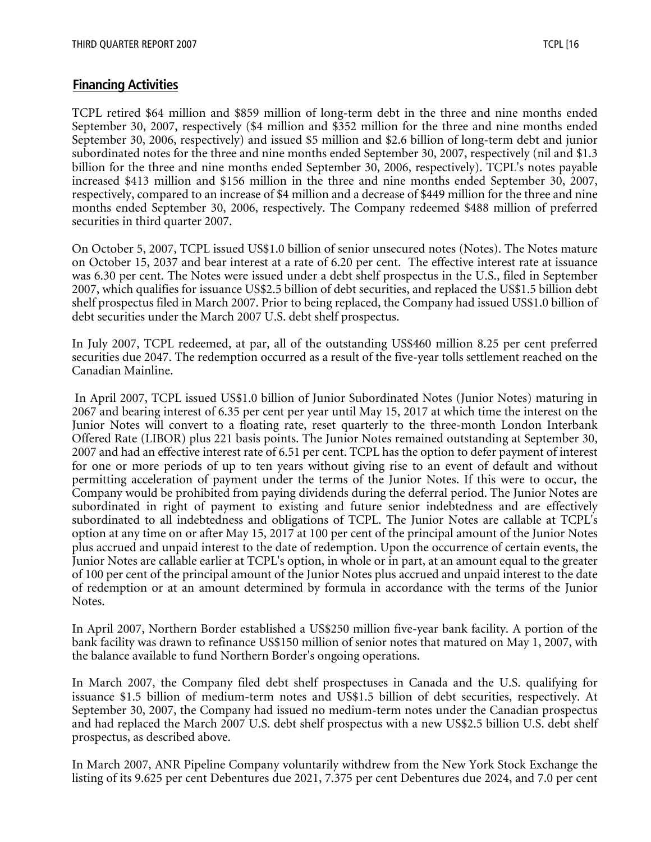# **Financing Activities**

TCPL retired \$64 million and \$859 million of long-term debt in the three and nine months ended September 30, 2007, respectively (\$4 million and \$352 million for the three and nine months ended September 30, 2006, respectively) and issued \$5 million and \$2.6 billion of long-term debt and junior subordinated notes for the three and nine months ended September 30, 2007, respectively (nil and \$1.3 billion for the three and nine months ended September 30, 2006, respectively). TCPL's notes payable increased \$413 million and \$156 million in the three and nine months ended September 30, 2007, respectively, compared to an increase of \$4 million and a decrease of \$449 million for the three and nine months ended September 30, 2006, respectively. The Company redeemed \$488 million of preferred securities in third quarter 2007.

On October 5, 2007, TCPL issued US\$1.0 billion of senior unsecured notes (Notes). The Notes mature on October 15, 2037 and bear interest at a rate of 6.20 per cent. The effective interest rate at issuance was 6.30 per cent. The Notes were issued under a debt shelf prospectus in the U.S., filed in September 2007, which qualifies for issuance US\$2.5 billion of debt securities, and replaced the US\$1.5 billion debt shelf prospectus filed in March 2007. Prior to being replaced, the Company had issued US\$1.0 billion of debt securities under the March 2007 U.S. debt shelf prospectus.

In July 2007, TCPL redeemed, at par, all of the outstanding US\$460 million 8.25 per cent preferred securities due 2047. The redemption occurred as a result of the five-year tolls settlement reached on the Canadian Mainline.

 In April 2007, TCPL issued US\$1.0 billion of Junior Subordinated Notes (Junior Notes) maturing in 2067 and bearing interest of 6.35 per cent per year until May 15, 2017 at which time the interest on the Junior Notes will convert to a floating rate, reset quarterly to the three-month London Interbank Offered Rate (LIBOR) plus 221 basis points. The Junior Notes remained outstanding at September 30, 2007 and had an effective interest rate of 6.51 per cent. TCPL has the option to defer payment of interest for one or more periods of up to ten years without giving rise to an event of default and without permitting acceleration of payment under the terms of the Junior Notes. If this were to occur, the Company would be prohibited from paying dividends during the deferral period. The Junior Notes are subordinated in right of payment to existing and future senior indebtedness and are effectively subordinated to all indebtedness and obligations of TCPL. The Junior Notes are callable at TCPL's option at any time on or after May 15, 2017 at 100 per cent of the principal amount of the Junior Notes plus accrued and unpaid interest to the date of redemption. Upon the occurrence of certain events, the Junior Notes are callable earlier at TCPL's option, in whole or in part, at an amount equal to the greater of 100 per cent of the principal amount of the Junior Notes plus accrued and unpaid interest to the date of redemption or at an amount determined by formula in accordance with the terms of the Junior Notes.

In April 2007, Northern Border established a US\$250 million five-year bank facility. A portion of the bank facility was drawn to refinance US\$150 million of senior notes that matured on May 1, 2007, with the balance available to fund Northern Border's ongoing operations.

In March 2007, the Company filed debt shelf prospectuses in Canada and the U.S. qualifying for issuance \$1.5 billion of medium-term notes and US\$1.5 billion of debt securities, respectively. At September 30, 2007, the Company had issued no medium-term notes under the Canadian prospectus and had replaced the March 2007 U.S. debt shelf prospectus with a new US\$2.5 billion U.S. debt shelf prospectus, as described above.

In March 2007, ANR Pipeline Company voluntarily withdrew from the New York Stock Exchange the listing of its 9.625 per cent Debentures due 2021, 7.375 per cent Debentures due 2024, and 7.0 per cent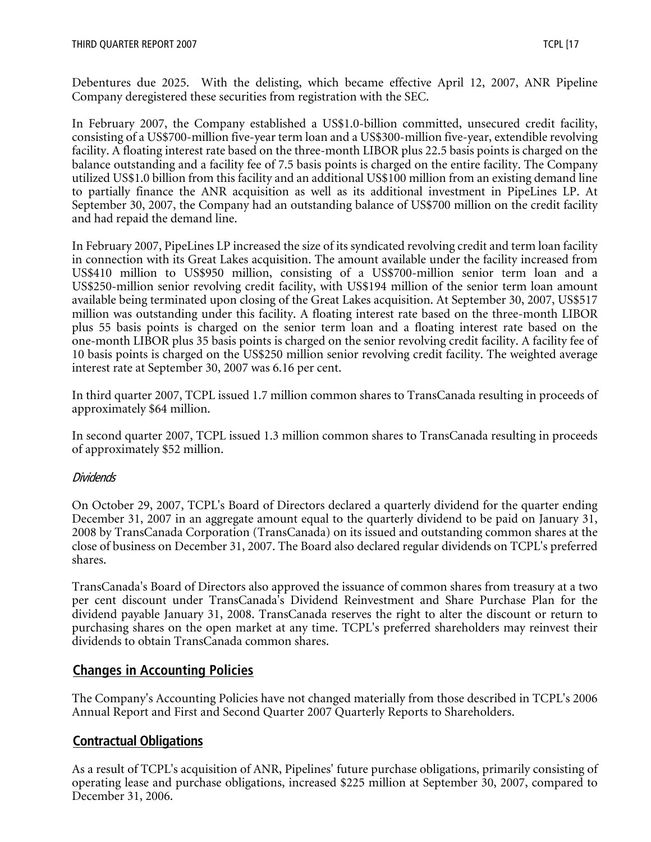Debentures due 2025. With the delisting, which became effective April 12, 2007, ANR Pipeline Company deregistered these securities from registration with the SEC.

In February 2007, the Company established a US\$1.0-billion committed, unsecured credit facility, consisting of a US\$700-million five-year term loan and a US\$300-million five-year, extendible revolving facility. A floating interest rate based on the three-month LIBOR plus 22.5 basis points is charged on the balance outstanding and a facility fee of 7.5 basis points is charged on the entire facility. The Company utilized US\$1.0 billion from this facility and an additional US\$100 million from an existing demand line to partially finance the ANR acquisition as well as its additional investment in PipeLines LP. At September 30, 2007, the Company had an outstanding balance of US\$700 million on the credit facility and had repaid the demand line.

In February 2007, PipeLines LP increased the size of its syndicated revolving credit and term loan facility in connection with its Great Lakes acquisition. The amount available under the facility increased from US\$410 million to US\$950 million, consisting of a US\$700-million senior term loan and a US\$250-million senior revolving credit facility, with US\$194 million of the senior term loan amount available being terminated upon closing of the Great Lakes acquisition. At September 30, 2007, US\$517 million was outstanding under this facility. A floating interest rate based on the three-month LIBOR plus 55 basis points is charged on the senior term loan and a floating interest rate based on the one-month LIBOR plus 35 basis points is charged on the senior revolving credit facility. A facility fee of 10 basis points is charged on the US\$250 million senior revolving credit facility. The weighted average interest rate at September 30, 2007 was 6.16 per cent.

In third quarter 2007, TCPL issued 1.7 million common shares to TransCanada resulting in proceeds of approximately \$64 million.

In second quarter 2007, TCPL issued 1.3 million common shares to TransCanada resulting in proceeds of approximately \$52 million.

# Dividends

On October 29, 2007, TCPL's Board of Directors declared a quarterly dividend for the quarter ending December 31, 2007 in an aggregate amount equal to the quarterly dividend to be paid on January 31, 2008 by TransCanada Corporation (TransCanada) on its issued and outstanding common shares at the close of business on December 31, 2007. The Board also declared regular dividends on TCPL's preferred shares.

TransCanada's Board of Directors also approved the issuance of common shares from treasury at a two per cent discount under TransCanada's Dividend Reinvestment and Share Purchase Plan for the dividend payable January 31, 2008. TransCanada reserves the right to alter the discount or return to purchasing shares on the open market at any time. TCPL's preferred shareholders may reinvest their dividends to obtain TransCanada common shares.

# **Changes in Accounting Policies**

The Company's Accounting Policies have not changed materially from those described in TCPL's 2006 Annual Report and First and Second Quarter 2007 Quarterly Reports to Shareholders.

# **Contractual Obligations**

As a result of TCPL's acquisition of ANR, Pipelines' future purchase obligations, primarily consisting of operating lease and purchase obligations, increased \$225 million at September 30, 2007, compared to December 31, 2006.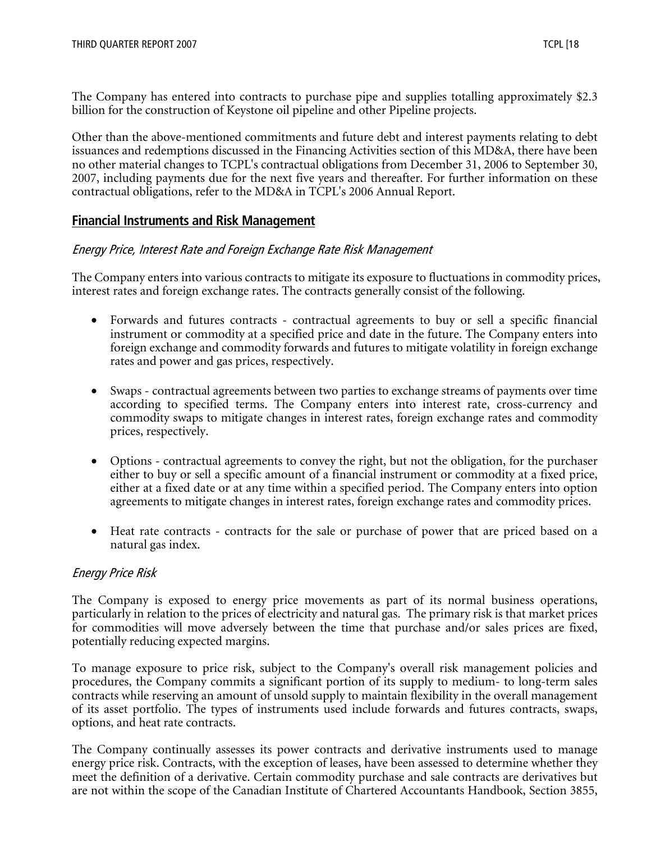The Company has entered into contracts to purchase pipe and supplies totalling approximately \$2.3 billion for the construction of Keystone oil pipeline and other Pipeline projects.

Other than the above-mentioned commitments and future debt and interest payments relating to debt issuances and redemptions discussed in the Financing Activities section of this MD&A, there have been no other material changes to TCPL's contractual obligations from December 31, 2006 to September 30, 2007, including payments due for the next five years and thereafter. For further information on these contractual obligations, refer to the MD&A in TCPL's 2006 Annual Report.

# **Financial Instruments and Risk Management**

#### Energy Price, Interest Rate and Foreign Exchange Rate Risk Management

The Company enters into various contracts to mitigate its exposure to fluctuations in commodity prices, interest rates and foreign exchange rates. The contracts generally consist of the following.

- Forwards and futures contracts contractual agreements to buy or sell a specific financial instrument or commodity at a specified price and date in the future. The Company enters into foreign exchange and commodity forwards and futures to mitigate volatility in foreign exchange rates and power and gas prices, respectively.
- Swaps contractual agreements between two parties to exchange streams of payments over time according to specified terms. The Company enters into interest rate, cross-currency and commodity swaps to mitigate changes in interest rates, foreign exchange rates and commodity prices, respectively.
- Options contractual agreements to convey the right, but not the obligation, for the purchaser either to buy or sell a specific amount of a financial instrument or commodity at a fixed price, either at a fixed date or at any time within a specified period. The Company enters into option agreements to mitigate changes in interest rates, foreign exchange rates and commodity prices.
- Heat rate contracts contracts for the sale or purchase of power that are priced based on a natural gas index.

# Energy Price Risk

The Company is exposed to energy price movements as part of its normal business operations, particularly in relation to the prices of electricity and natural gas. The primary risk is that market prices for commodities will move adversely between the time that purchase and/or sales prices are fixed, potentially reducing expected margins.

To manage exposure to price risk, subject to the Company's overall risk management policies and procedures, the Company commits a significant portion of its supply to medium- to long-term sales contracts while reserving an amount of unsold supply to maintain flexibility in the overall management of its asset portfolio. The types of instruments used include forwards and futures contracts, swaps, options, and heat rate contracts.

The Company continually assesses its power contracts and derivative instruments used to manage energy price risk. Contracts, with the exception of leases, have been assessed to determine whether they meet the definition of a derivative. Certain commodity purchase and sale contracts are derivatives but are not within the scope of the Canadian Institute of Chartered Accountants Handbook, Section 3855,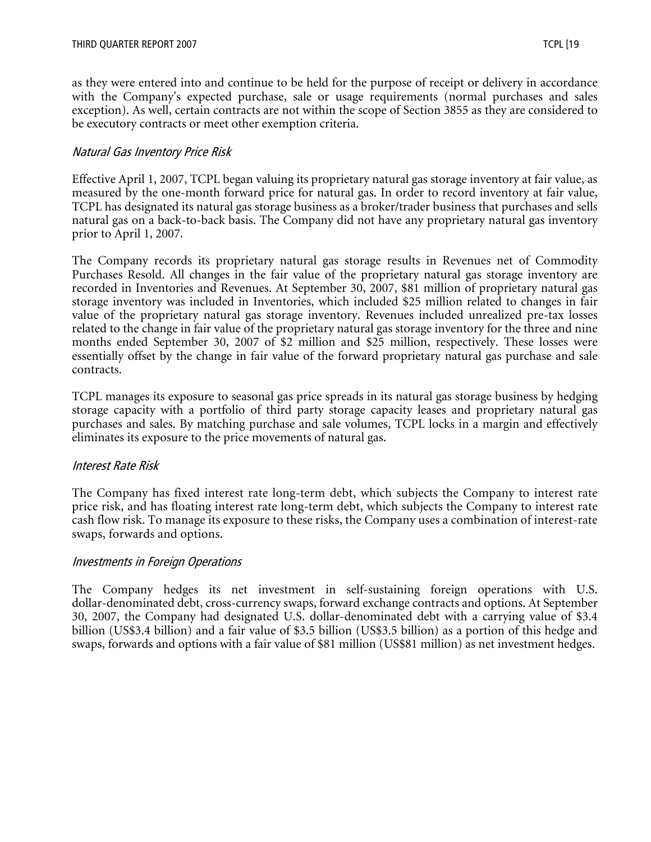as they were entered into and continue to be held for the purpose of receipt or delivery in accordance with the Company's expected purchase, sale or usage requirements (normal purchases and sales exception). As well, certain contracts are not within the scope of Section 3855 as they are considered to be executory contracts or meet other exemption criteria.

## Natural Gas Inventory Price Risk

Effective April 1, 2007, TCPL began valuing its proprietary natural gas storage inventory at fair value, as measured by the one-month forward price for natural gas. In order to record inventory at fair value, TCPL has designated its natural gas storage business as a broker/trader business that purchases and sells natural gas on a back-to-back basis. The Company did not have any proprietary natural gas inventory prior to April 1, 2007.

The Company records its proprietary natural gas storage results in Revenues net of Commodity Purchases Resold. All changes in the fair value of the proprietary natural gas storage inventory are recorded in Inventories and Revenues. At September 30, 2007, \$81 million of proprietary natural gas storage inventory was included in Inventories, which included \$25 million related to changes in fair value of the proprietary natural gas storage inventory. Revenues included unrealized pre-tax losses related to the change in fair value of the proprietary natural gas storage inventory for the three and nine months ended September 30, 2007 of \$2 million and \$25 million, respectively. These losses were essentially offset by the change in fair value of the forward proprietary natural gas purchase and sale contracts.

TCPL manages its exposure to seasonal gas price spreads in its natural gas storage business by hedging storage capacity with a portfolio of third party storage capacity leases and proprietary natural gas purchases and sales. By matching purchase and sale volumes, TCPL locks in a margin and effectively eliminates its exposure to the price movements of natural gas.

#### Interest Rate Risk

The Company has fixed interest rate long-term debt, which subjects the Company to interest rate price risk, and has floating interest rate long-term debt, which subjects the Company to interest rate cash flow risk. To manage its exposure to these risks, the Company uses a combination of interest-rate swaps, forwards and options.

#### Investments in Foreign Operations

The Company hedges its net investment in self-sustaining foreign operations with U.S. dollar-denominated debt, cross-currency swaps, forward exchange contracts and options. At September 30, 2007, the Company had designated U.S. dollar-denominated debt with a carrying value of \$3.4 billion (US\$3.4 billion) and a fair value of \$3.5 billion (US\$3.5 billion) as a portion of this hedge and swaps, forwards and options with a fair value of \$81 million (US\$81 million) as net investment hedges.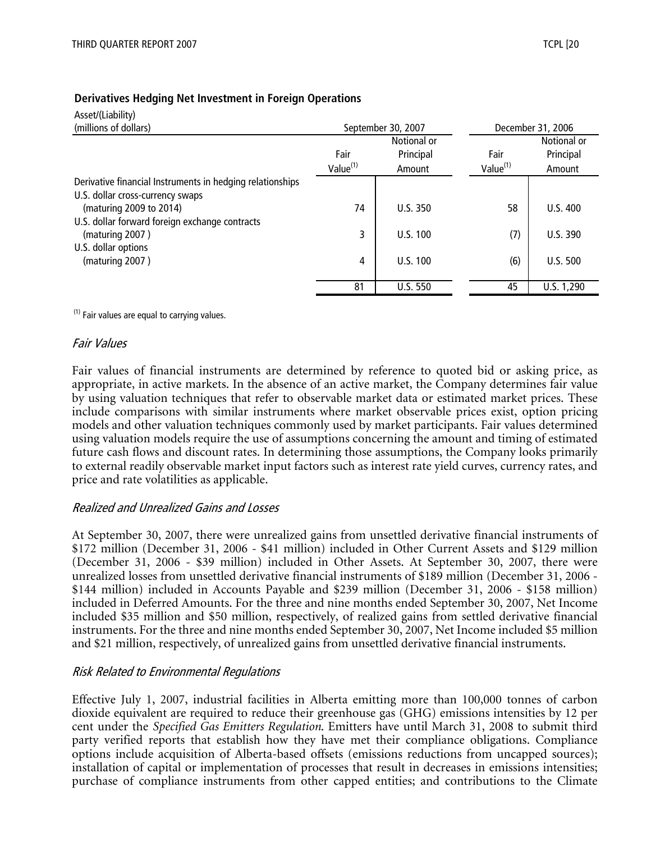| Asset/(Liability)                                         |                      |                    |                      |                 |  |
|-----------------------------------------------------------|----------------------|--------------------|----------------------|-----------------|--|
| (millions of dollars)                                     |                      | September 30, 2007 | December 31, 2006    |                 |  |
|                                                           |                      | Notional or        |                      | Notional or     |  |
|                                                           | Fair                 | Principal          | Fair                 | Principal       |  |
|                                                           | Value <sup>(1)</sup> | Amount             | Value <sup>(1)</sup> | Amount          |  |
| Derivative financial Instruments in hedging relationships |                      |                    |                      |                 |  |
| U.S. dollar cross-currency swaps                          |                      |                    |                      |                 |  |
| (maturing 2009 to 2014)                                   | 74                   | U.S.350            | 58                   | U.S.400         |  |
| U.S. dollar forward foreign exchange contracts            |                      |                    |                      |                 |  |
| (maturing 2007)                                           | 3                    | U.S. 100           | (7)                  | U.S. 390        |  |
| U.S. dollar options                                       |                      |                    |                      |                 |  |
| (maturing 2007)                                           | 4                    | U.S. 100           | (6)                  | <b>U.S. 500</b> |  |
|                                                           |                      |                    |                      |                 |  |
|                                                           | 81                   | <b>U.S. 550</b>    | 45                   | U.S. 1,290      |  |

#### **Derivatives Hedging Net Investment in Foreign Operations**

 $(1)$  Fair values are equal to carrying values.

#### Fair Values

Fair values of financial instruments are determined by reference to quoted bid or asking price, as appropriate, in active markets. In the absence of an active market, the Company determines fair value by using valuation techniques that refer to observable market data or estimated market prices. These include comparisons with similar instruments where market observable prices exist, option pricing models and other valuation techniques commonly used by market participants. Fair values determined using valuation models require the use of assumptions concerning the amount and timing of estimated future cash flows and discount rates. In determining those assumptions, the Company looks primarily to external readily observable market input factors such as interest rate yield curves, currency rates, and price and rate volatilities as applicable.

#### Realized and Unrealized Gains and Losses

At September 30, 2007, there were unrealized gains from unsettled derivative financial instruments of \$172 million (December 31, 2006 - \$41 million) included in Other Current Assets and \$129 million (December 31, 2006 - \$39 million) included in Other Assets. At September 30, 2007, there were unrealized losses from unsettled derivative financial instruments of \$189 million (December 31, 2006 - \$144 million) included in Accounts Payable and \$239 million (December 31, 2006 - \$158 million) included in Deferred Amounts. For the three and nine months ended September 30, 2007, Net Income included \$35 million and \$50 million, respectively, of realized gains from settled derivative financial instruments. For the three and nine months ended September 30, 2007, Net Income included \$5 million and \$21 million, respectively, of unrealized gains from unsettled derivative financial instruments.

#### Risk Related to Environmental Regulations

Effective July 1, 2007, industrial facilities in Alberta emitting more than 100,000 tonnes of carbon dioxide equivalent are required to reduce their greenhouse gas (GHG) emissions intensities by 12 per cent under the *Specified Gas Emitters Regulation*. Emitters have until March 31, 2008 to submit third party verified reports that establish how they have met their compliance obligations. Compliance options include acquisition of Alberta-based offsets (emissions reductions from uncapped sources); installation of capital or implementation of processes that result in decreases in emissions intensities; purchase of compliance instruments from other capped entities; and contributions to the Climate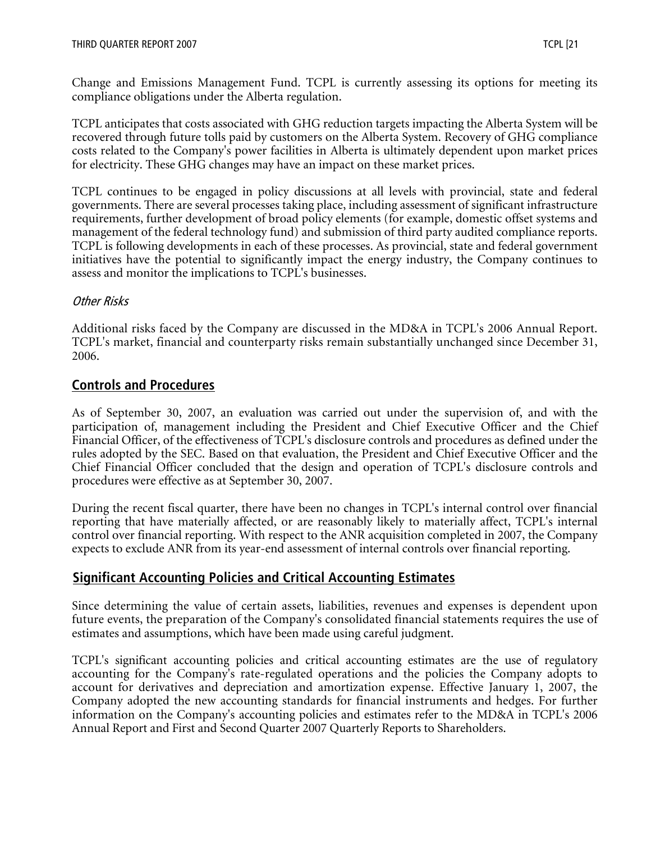Change and Emissions Management Fund. TCPL is currently assessing its options for meeting its compliance obligations under the Alberta regulation.

TCPL anticipates that costs associated with GHG reduction targets impacting the Alberta System will be recovered through future tolls paid by customers on the Alberta System. Recovery of GHG compliance costs related to the Company's power facilities in Alberta is ultimately dependent upon market prices for electricity. These GHG changes may have an impact on these market prices.

TCPL continues to be engaged in policy discussions at all levels with provincial, state and federal governments. There are several processes taking place, including assessment of significant infrastructure requirements, further development of broad policy elements (for example, domestic offset systems and management of the federal technology fund) and submission of third party audited compliance reports. TCPL is following developments in each of these processes. As provincial, state and federal government initiatives have the potential to significantly impact the energy industry, the Company continues to assess and monitor the implications to TCPL's businesses.

# Other Risks

Additional risks faced by the Company are discussed in the MD&A in TCPL's 2006 Annual Report. TCPL's market, financial and counterparty risks remain substantially unchanged since December 31, 2006.

# **Controls and Procedures**

As of September 30, 2007, an evaluation was carried out under the supervision of, and with the participation of, management including the President and Chief Executive Officer and the Chief Financial Officer, of the effectiveness of TCPL's disclosure controls and procedures as defined under the rules adopted by the SEC. Based on that evaluation, the President and Chief Executive Officer and the Chief Financial Officer concluded that the design and operation of TCPL's disclosure controls and procedures were effective as at September 30, 2007.

During the recent fiscal quarter, there have been no changes in TCPL's internal control over financial reporting that have materially affected, or are reasonably likely to materially affect, TCPL's internal control over financial reporting. With respect to the ANR acquisition completed in 2007, the Company expects to exclude ANR from its year-end assessment of internal controls over financial reporting.

# **Significant Accounting Policies and Critical Accounting Estimates**

Since determining the value of certain assets, liabilities, revenues and expenses is dependent upon future events, the preparation of the Company's consolidated financial statements requires the use of estimates and assumptions, which have been made using careful judgment.

TCPL's significant accounting policies and critical accounting estimates are the use of regulatory accounting for the Company's rate-regulated operations and the policies the Company adopts to account for derivatives and depreciation and amortization expense. Effective January 1, 2007, the Company adopted the new accounting standards for financial instruments and hedges. For further information on the Company's accounting policies and estimates refer to the MD&A in TCPL's 2006 Annual Report and First and Second Quarter 2007 Quarterly Reports to Shareholders.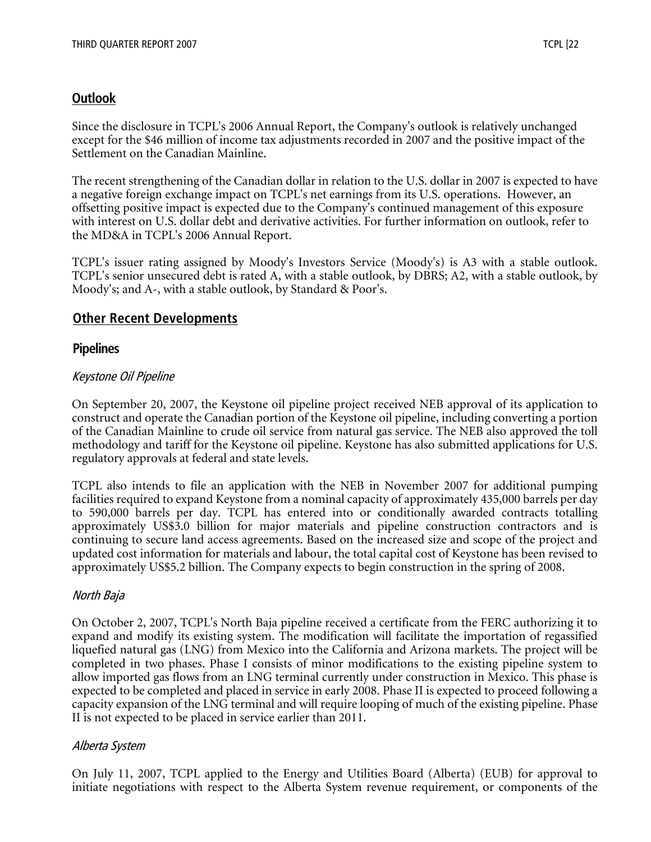# **Outlook**

Since the disclosure in TCPL's 2006 Annual Report, the Company's outlook is relatively unchanged except for the \$46 million of income tax adjustments recorded in 2007 and the positive impact of the Settlement on the Canadian Mainline.

The recent strengthening of the Canadian dollar in relation to the U.S. dollar in 2007 is expected to have a negative foreign exchange impact on TCPL's net earnings from its U.S. operations. However, an offsetting positive impact is expected due to the Company's continued management of this exposure with interest on U.S. dollar debt and derivative activities. For further information on outlook, refer to the MD&A in TCPL's 2006 Annual Report.

TCPL's issuer rating assigned by Moody's Investors Service (Moody's) is A3 with a stable outlook. TCPL's senior unsecured debt is rated A, with a stable outlook, by DBRS; A2, with a stable outlook, by Moody's; and A-, with a stable outlook, by Standard & Poor's.

# **Other Recent Developments**

## **Pipelines**

## Keystone Oil Pipeline

On September 20, 2007, the Keystone oil pipeline project received NEB approval of its application to construct and operate the Canadian portion of the Keystone oil pipeline, including converting a portion of the Canadian Mainline to crude oil service from natural gas service. The NEB also approved the toll methodology and tariff for the Keystone oil pipeline. Keystone has also submitted applications for U.S. regulatory approvals at federal and state levels.

TCPL also intends to file an application with the NEB in November 2007 for additional pumping facilities required to expand Keystone from a nominal capacity of approximately 435,000 barrels per day to 590,000 barrels per day. TCPL has entered into or conditionally awarded contracts totalling approximately US\$3.0 billion for major materials and pipeline construction contractors and is continuing to secure land access agreements. Based on the increased size and scope of the project and updated cost information for materials and labour, the total capital cost of Keystone has been revised to approximately US\$5.2 billion. The Company expects to begin construction in the spring of 2008.

# North Baja

On October 2, 2007, TCPL's North Baja pipeline received a certificate from the FERC authorizing it to expand and modify its existing system. The modification will facilitate the importation of regassified liquefied natural gas (LNG) from Mexico into the California and Arizona markets. The project will be completed in two phases. Phase I consists of minor modifications to the existing pipeline system to allow imported gas flows from an LNG terminal currently under construction in Mexico. This phase is expected to be completed and placed in service in early 2008. Phase II is expected to proceed following a capacity expansion of the LNG terminal and will require looping of much of the existing pipeline. Phase II is not expected to be placed in service earlier than 2011.

#### Alberta System

On July 11, 2007, TCPL applied to the Energy and Utilities Board (Alberta) (EUB) for approval to initiate negotiations with respect to the Alberta System revenue requirement, or components of the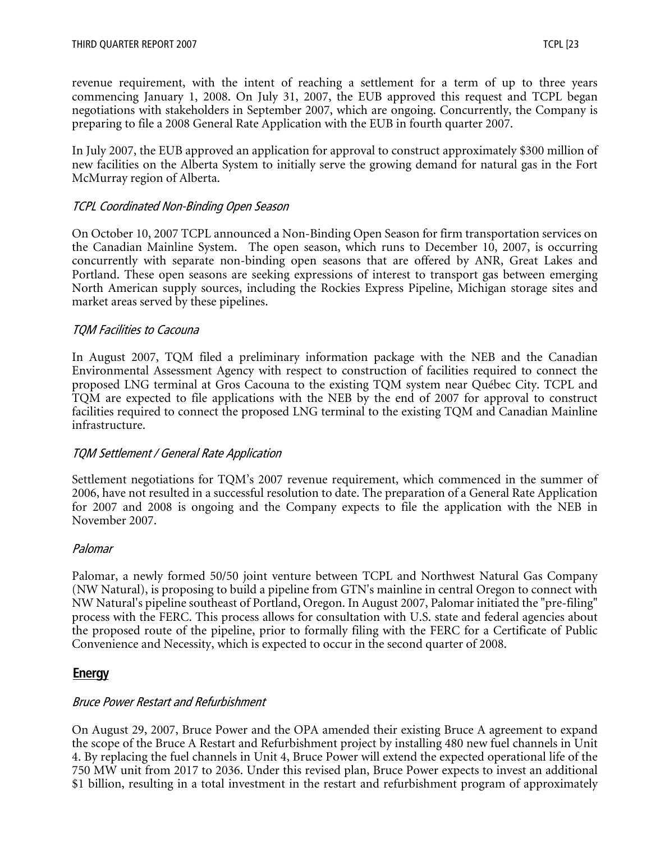revenue requirement, with the intent of reaching a settlement for a term of up to three years commencing January 1, 2008. On July 31, 2007, the EUB approved this request and TCPL began negotiations with stakeholders in September 2007, which are ongoing. Concurrently, the Company is preparing to file a 2008 General Rate Application with the EUB in fourth quarter 2007.

In July 2007, the EUB approved an application for approval to construct approximately \$300 million of new facilities on the Alberta System to initially serve the growing demand for natural gas in the Fort McMurray region of Alberta.

#### TCPL Coordinated Non-Binding Open Season

On October 10, 2007 TCPL announced a Non-Binding Open Season for firm transportation services on the Canadian Mainline System. The open season, which runs to December 10, 2007, is occurring concurrently with separate non-binding open seasons that are offered by ANR, Great Lakes and Portland. These open seasons are seeking expressions of interest to transport gas between emerging North American supply sources, including the Rockies Express Pipeline, Michigan storage sites and market areas served by these pipelines.

#### TQM Facilities to Cacouna

In August 2007, TQM filed a preliminary information package with the NEB and the Canadian Environmental Assessment Agency with respect to construction of facilities required to connect the proposed LNG terminal at Gros Cacouna to the existing TQM system near Québec City. TCPL and TQM are expected to file applications with the NEB by the end of 2007 for approval to construct facilities required to connect the proposed LNG terminal to the existing TQM and Canadian Mainline infrastructure.

#### TQM Settlement / General Rate Application

Settlement negotiations for TQM's 2007 revenue requirement, which commenced in the summer of 2006, have not resulted in a successful resolution to date. The preparation of a General Rate Application for 2007 and 2008 is ongoing and the Company expects to file the application with the NEB in November 2007.

#### Palomar

Palomar, a newly formed 50/50 joint venture between TCPL and Northwest Natural Gas Company (NW Natural), is proposing to build a pipeline from GTN's mainline in central Oregon to connect with NW Natural's pipeline southeast of Portland, Oregon. In August 2007, Palomar initiated the "pre-filing" process with the FERC. This process allows for consultation with U.S. state and federal agencies about the proposed route of the pipeline, prior to formally filing with the FERC for a Certificate of Public Convenience and Necessity, which is expected to occur in the second quarter of 2008.

#### **Energy**

#### Bruce Power Restart and Refurbishment

On August 29, 2007, Bruce Power and the OPA amended their existing Bruce A agreement to expand the scope of the Bruce A Restart and Refurbishment project by installing 480 new fuel channels in Unit 4. By replacing the fuel channels in Unit 4, Bruce Power will extend the expected operational life of the 750 MW unit from 2017 to 2036. Under this revised plan, Bruce Power expects to invest an additional \$1 billion, resulting in a total investment in the restart and refurbishment program of approximately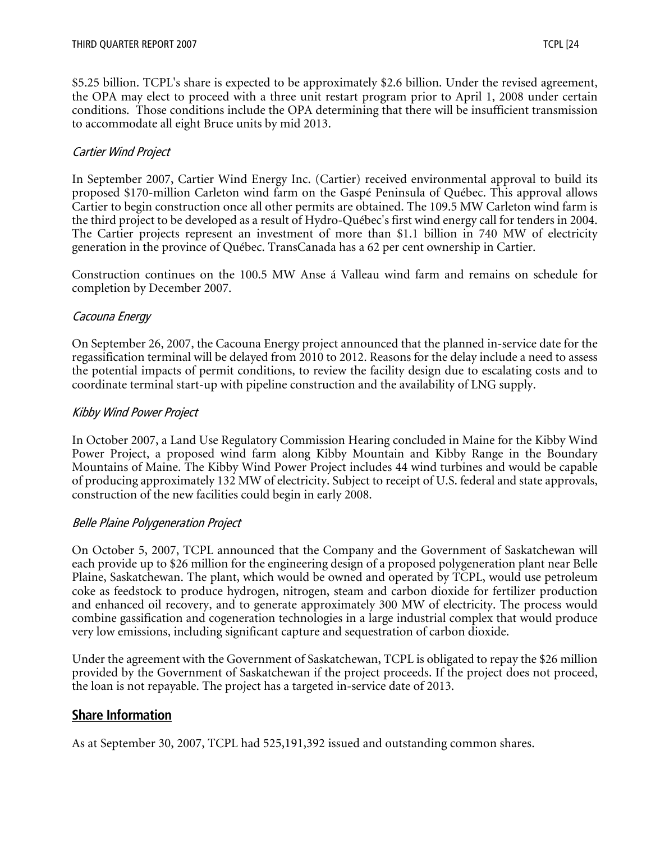\$5.25 billion. TCPL's share is expected to be approximately \$2.6 billion. Under the revised agreement, the OPA may elect to proceed with a three unit restart program prior to April 1, 2008 under certain conditions. Those conditions include the OPA determining that there will be insufficient transmission to accommodate all eight Bruce units by mid 2013.

## Cartier Wind Project

In September 2007, Cartier Wind Energy Inc. (Cartier) received environmental approval to build its proposed \$170-million Carleton wind farm on the Gaspé Peninsula of Québec. This approval allows Cartier to begin construction once all other permits are obtained. The 109.5 MW Carleton wind farm is the third project to be developed as a result of Hydro-Québec's first wind energy call for tenders in 2004. The Cartier projects represent an investment of more than \$1.1 billion in 740 MW of electricity generation in the province of Québec. TransCanada has a 62 per cent ownership in Cartier.

Construction continues on the 100.5 MW Anse á Valleau wind farm and remains on schedule for completion by December 2007.

#### Cacouna Energy

On September 26, 2007, the Cacouna Energy project announced that the planned in-service date for the regassification terminal will be delayed from 2010 to 2012. Reasons for the delay include a need to assess the potential impacts of permit conditions, to review the facility design due to escalating costs and to coordinate terminal start-up with pipeline construction and the availability of LNG supply.

#### Kibby Wind Power Project

In October 2007, a Land Use Regulatory Commission Hearing concluded in Maine for the Kibby Wind Power Project, a proposed wind farm along Kibby Mountain and Kibby Range in the Boundary Mountains of Maine. The Kibby Wind Power Project includes 44 wind turbines and would be capable of producing approximately 132 MW of electricity. Subject to receipt of U.S. federal and state approvals, construction of the new facilities could begin in early 2008.

#### Belle Plaine Polygeneration Project

On October 5, 2007, TCPL announced that the Company and the Government of Saskatchewan will each provide up to \$26 million for the engineering design of a proposed polygeneration plant near Belle Plaine, Saskatchewan. The plant, which would be owned and operated by TCPL, would use petroleum coke as feedstock to produce hydrogen, nitrogen, steam and carbon dioxide for fertilizer production and enhanced oil recovery, and to generate approximately 300 MW of electricity. The process would combine gassification and cogeneration technologies in a large industrial complex that would produce very low emissions, including significant capture and sequestration of carbon dioxide.

Under the agreement with the Government of Saskatchewan, TCPL is obligated to repay the \$26 million provided by the Government of Saskatchewan if the project proceeds. If the project does not proceed, the loan is not repayable. The project has a targeted in-service date of 2013.

# **Share Information**

As at September 30, 2007, TCPL had 525,191,392 issued and outstanding common shares.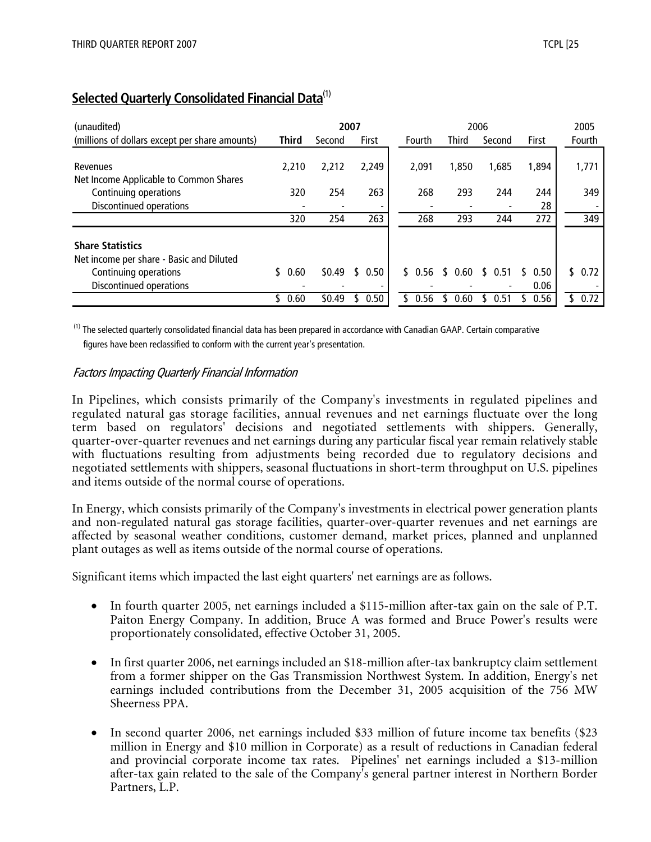| (unaudited)                                                                                                             |              | 2007   |            |             |              | 2006       |              | 2005        |
|-------------------------------------------------------------------------------------------------------------------------|--------------|--------|------------|-------------|--------------|------------|--------------|-------------|
| (millions of dollars except per share amounts)                                                                          | <b>Third</b> | Second | First      | Fourth      | <b>Third</b> | Second     | <b>First</b> | Fourth      |
| Revenues<br>Net Income Applicable to Common Shares                                                                      | 2.210        | 2,212  | 2,249      | 2,091       | 1,850        | 1,685      | 1,894        | 1,771       |
| Continuing operations                                                                                                   | 320          | 254    | 263        | 268         | 293          | 244        | 244          | 349         |
| Discontinued operations                                                                                                 |              |        |            |             |              |            | 28           |             |
|                                                                                                                         | 320          | 254    | 263        | 268         | 293          | 244        | 272          | 349         |
| <b>Share Statistics</b><br>Net income per share - Basic and Diluted<br>Continuing operations<br>Discontinued operations | 0.60         | \$0.49 | 0.50<br>\$ | \$.<br>0.56 | 0.60         | 0.51<br>S. | 0.50<br>0.06 | 0.72<br>\$. |
|                                                                                                                         | 0.60         | \$0.49 | 0.50       | 0.56        | 0.60         | 0.51       | 0.56         | 0.72        |

# **Selected Quarterly Consolidated Financial Data**(1)

<sup>(1)</sup> The selected quarterly consolidated financial data has been prepared in accordance with Canadian GAAP. Certain comparative figures have been reclassified to conform with the current year's presentation.

#### Factors Impacting Quarterly Financial Information

In Pipelines, which consists primarily of the Company's investments in regulated pipelines and regulated natural gas storage facilities, annual revenues and net earnings fluctuate over the long term based on regulators' decisions and negotiated settlements with shippers. Generally, quarter-over-quarter revenues and net earnings during any particular fiscal year remain relatively stable with fluctuations resulting from adjustments being recorded due to regulatory decisions and negotiated settlements with shippers, seasonal fluctuations in short-term throughput on U.S. pipelines and items outside of the normal course of operations.

In Energy, which consists primarily of the Company's investments in electrical power generation plants and non-regulated natural gas storage facilities, quarter-over-quarter revenues and net earnings are affected by seasonal weather conditions, customer demand, market prices, planned and unplanned plant outages as well as items outside of the normal course of operations.

Significant items which impacted the last eight quarters' net earnings are as follows.

- In fourth quarter 2005, net earnings included a \$115-million after-tax gain on the sale of P.T. Paiton Energy Company. In addition, Bruce A was formed and Bruce Power's results were proportionately consolidated, effective October 31, 2005.
- In first quarter 2006, net earnings included an \$18-million after-tax bankruptcy claim settlement from a former shipper on the Gas Transmission Northwest System. In addition, Energy's net earnings included contributions from the December 31, 2005 acquisition of the 756 MW Sheerness PPA.
- In second quarter 2006, net earnings included \$33 million of future income tax benefits (\$23 million in Energy and \$10 million in Corporate) as a result of reductions in Canadian federal and provincial corporate income tax rates. Pipelines' net earnings included a \$13-million after-tax gain related to the sale of the Company's general partner interest in Northern Border Partners, L.P.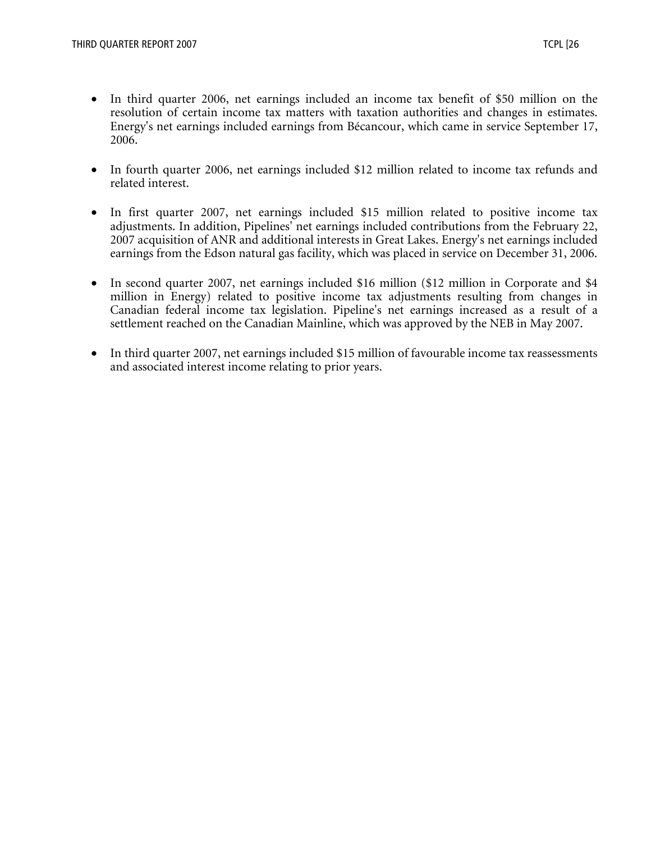- In third quarter 2006, net earnings included an income tax benefit of \$50 million on the resolution of certain income tax matters with taxation authorities and changes in estimates. Energy's net earnings included earnings from Bécancour, which came in service September 17, 2006.
- In fourth quarter 2006, net earnings included \$12 million related to income tax refunds and related interest.
- In first quarter 2007, net earnings included \$15 million related to positive income tax adjustments. In addition, Pipelines' net earnings included contributions from the February 22, 2007 acquisition of ANR and additional interests in Great Lakes. Energy's net earnings included earnings from the Edson natural gas facility, which was placed in service on December 31, 2006.
- In second quarter 2007, net earnings included \$16 million (\$12 million in Corporate and \$4 million in Energy) related to positive income tax adjustments resulting from changes in Canadian federal income tax legislation. Pipeline's net earnings increased as a result of a settlement reached on the Canadian Mainline, which was approved by the NEB in May 2007.
- In third quarter 2007, net earnings included \$15 million of favourable income tax reassessments and associated interest income relating to prior years.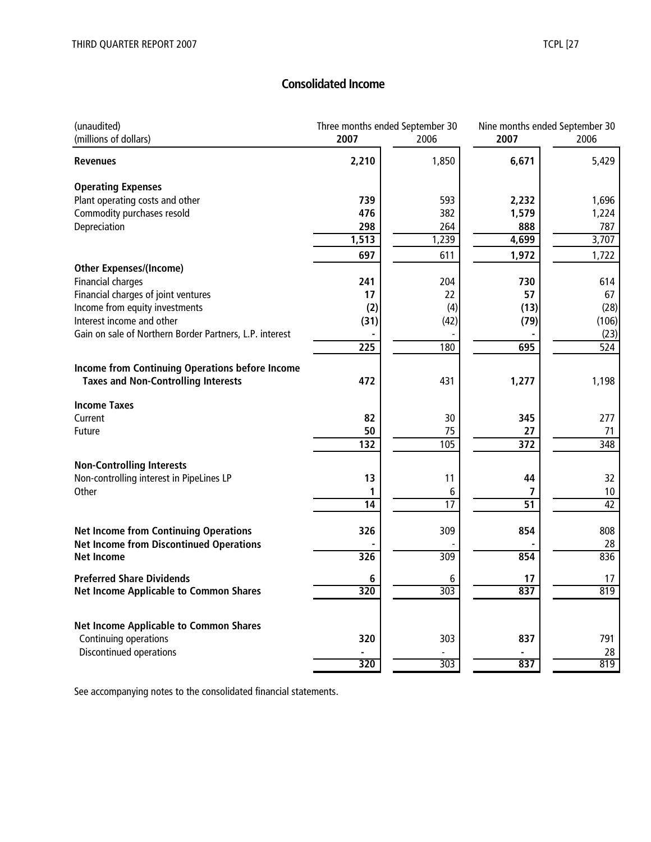# **Consolidated Income**

| (unaudited)<br>(millions of dollars)                                                          | Three months ended September 30<br>2007 | 2006                 | Nine months ended September 30<br>2007 | 2006             |
|-----------------------------------------------------------------------------------------------|-----------------------------------------|----------------------|----------------------------------------|------------------|
| <b>Revenues</b>                                                                               | 2,210                                   | 1,850                | 6,671                                  | 5,429            |
| <b>Operating Expenses</b>                                                                     |                                         |                      |                                        |                  |
| Plant operating costs and other                                                               | 739                                     | 593                  | 2,232                                  | 1,696            |
| Commodity purchases resold                                                                    | 476                                     | 382                  | 1,579                                  | 1,224            |
| Depreciation                                                                                  | 298                                     | 264                  | 888                                    | 787              |
|                                                                                               | 1,513                                   | 1,239                | 4,699                                  | 3,707            |
|                                                                                               | 697                                     | 611                  | 1,972                                  | 1,722            |
| <b>Other Expenses/(Income)</b>                                                                |                                         |                      |                                        |                  |
| <b>Financial charges</b>                                                                      | 241                                     | 204                  | 730                                    | 614              |
| Financial charges of joint ventures                                                           | 17                                      | 22                   | 57                                     | 67               |
| Income from equity investments                                                                | (2)                                     | (4)                  | (13)                                   | (28)             |
| Interest income and other                                                                     | (31)                                    | (42)                 | (79)                                   | (106)            |
| Gain on sale of Northern Border Partners, L.P. interest                                       |                                         |                      |                                        | (23)             |
|                                                                                               | $\overline{225}$                        | 180                  | 695                                    | $\overline{524}$ |
|                                                                                               |                                         |                      |                                        |                  |
| Income from Continuing Operations before Income<br><b>Taxes and Non-Controlling Interests</b> | 472                                     | 431                  | 1,277                                  | 1,198            |
| <b>Income Taxes</b>                                                                           |                                         |                      |                                        |                  |
| Current                                                                                       | 82                                      | 30                   | 345                                    | 277              |
| Future                                                                                        | 50                                      | 75                   | 27                                     | 71               |
|                                                                                               | 132                                     | 105                  | $\overline{372}$                       | 348              |
|                                                                                               |                                         |                      |                                        |                  |
| <b>Non-Controlling Interests</b>                                                              | 13                                      | 11                   | 44                                     | 32               |
| Non-controlling interest in PipeLines LP<br>Other                                             |                                         |                      | 7                                      | $10\,$           |
|                                                                                               | 1<br>14                                 | 6<br>$\overline{17}$ | $\overline{51}$                        | $\overline{42}$  |
|                                                                                               |                                         |                      |                                        |                  |
| <b>Net Income from Continuing Operations</b>                                                  | 326                                     | 309                  | 854                                    | 808              |
| <b>Net Income from Discontinued Operations</b>                                                |                                         |                      |                                        | 28               |
| <b>Net Income</b>                                                                             | 326                                     | 309                  | 854                                    | 836              |
| <b>Preferred Share Dividends</b>                                                              | 6                                       | 6                    | 17                                     | 17               |
| <b>Net Income Applicable to Common Shares</b>                                                 | 320                                     | $\overline{303}$     | 837                                    | 819              |
|                                                                                               |                                         |                      |                                        |                  |
| <b>Net Income Applicable to Common Shares</b>                                                 |                                         |                      |                                        |                  |
| Continuing operations                                                                         | 320                                     | 303                  | 837                                    | 791              |
| Discontinued operations                                                                       |                                         |                      |                                        | 28               |
|                                                                                               | 320                                     | $\overline{303}$     | 837                                    | 819              |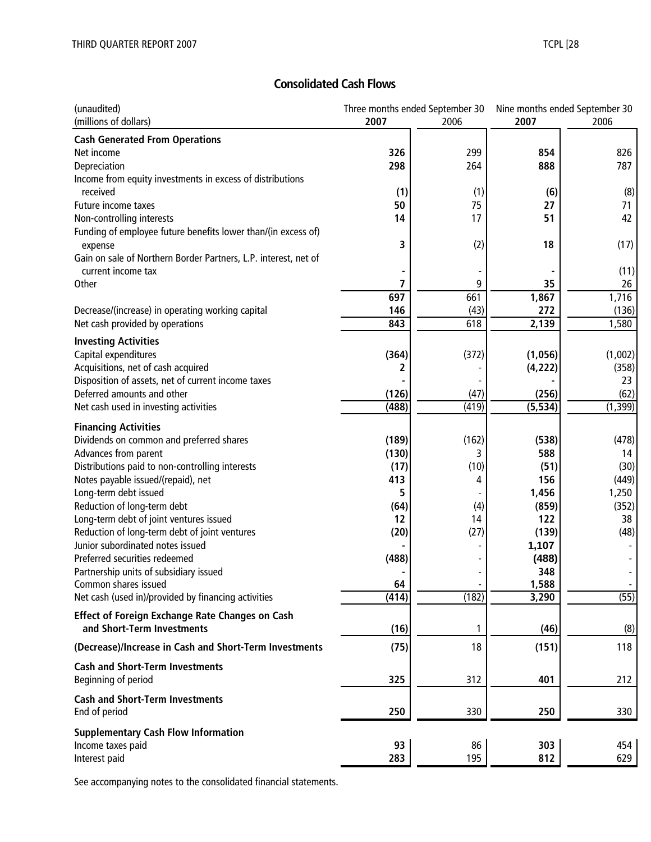# **Consolidated Cash Flows**

| (unaudited)                                                     |          | Three months ended September 30 | Nine months ended September 30 |                |
|-----------------------------------------------------------------|----------|---------------------------------|--------------------------------|----------------|
| (millions of dollars)                                           | 2007     | 2006                            | 2007                           | 2006           |
| <b>Cash Generated From Operations</b>                           |          |                                 |                                |                |
| Net income                                                      | 326      | 299                             | 854                            | 826            |
| Depreciation                                                    | 298      | 264                             | 888                            | 787            |
| Income from equity investments in excess of distributions       |          |                                 |                                |                |
| received                                                        | (1)      | (1)                             | (6)                            | (8)            |
| Future income taxes                                             | 50       | 75                              | 27                             | 71             |
| Non-controlling interests                                       | 14       | 17                              | 51                             | 42             |
| Funding of employee future benefits lower than/(in excess of)   |          |                                 |                                |                |
| expense                                                         | 3        | (2)                             | 18                             | (17)           |
| Gain on sale of Northern Border Partners, L.P. interest, net of |          |                                 |                                |                |
| current income tax                                              |          |                                 |                                | (11)           |
| Other                                                           | 7<br>697 | 9<br>661                        | 35                             | 26<br>1,716    |
|                                                                 | 146      |                                 | 1,867<br>272                   |                |
| Decrease/(increase) in operating working capital                | 843      | (43)<br>618                     |                                | (136)<br>1,580 |
| Net cash provided by operations                                 |          |                                 | 2,139                          |                |
| <b>Investing Activities</b>                                     |          |                                 |                                |                |
| Capital expenditures                                            | (364)    | (372)                           | (1,056)                        | (1,002)        |
| Acquisitions, net of cash acquired                              | 2        |                                 | (4, 222)                       | (358)          |
| Disposition of assets, net of current income taxes              |          |                                 |                                | 23             |
| Deferred amounts and other                                      | (126)    | (47)                            | (256)                          | (62)           |
| Net cash used in investing activities                           | (488)    | (419)                           | (5, 534)                       | (1, 399)       |
| <b>Financing Activities</b>                                     |          |                                 |                                |                |
| Dividends on common and preferred shares                        | (189)    | (162)                           | (538)                          | (478)          |
| Advances from parent                                            | (130)    | 3                               | 588                            | 14             |
| Distributions paid to non-controlling interests                 | (17)     | (10)                            | (51)                           | (30)           |
| Notes payable issued/(repaid), net                              | 413      | 4                               | 156                            | (449)          |
| Long-term debt issued                                           | 5        |                                 | 1,456                          | 1,250          |
| Reduction of long-term debt                                     | (64)     | (4)                             | (859)                          | (352)          |
| Long-term debt of joint ventures issued                         | 12       | 14                              | 122                            | 38             |
| Reduction of long-term debt of joint ventures                   | (20)     | (27)                            | (139)                          | (48)           |
| Junior subordinated notes issued                                |          |                                 | 1,107                          |                |
| Preferred securities redeemed                                   | (488)    |                                 | (488)                          |                |
| Partnership units of subsidiary issued                          |          | $\overline{\phantom{a}}$        | 348                            |                |
| Common shares issued                                            | 64       |                                 | 1,588                          |                |
| Net cash (used in)/provided by financing activities             | (414)    | (182)                           | 3,290                          | (55)           |
| <b>Effect of Foreign Exchange Rate Changes on Cash</b>          |          |                                 |                                |                |
| and Short-Term Investments                                      | (16)     |                                 | (46)                           | (8)            |
| (Decrease)/Increase in Cash and Short-Term Investments          | (75)     | 18                              | (151)                          | 118            |
| <b>Cash and Short-Term Investments</b>                          |          |                                 |                                |                |
| Beginning of period                                             | 325      | 312                             | 401                            | 212            |
| <b>Cash and Short-Term Investments</b>                          |          |                                 |                                |                |
| End of period                                                   | 250      | 330                             | 250                            | 330            |
| <b>Supplementary Cash Flow Information</b>                      |          |                                 |                                |                |
| Income taxes paid                                               | 93       | 86                              | 303                            | 454            |
| Interest paid                                                   | 283      | 195                             | 812                            | 629            |
|                                                                 |          |                                 |                                |                |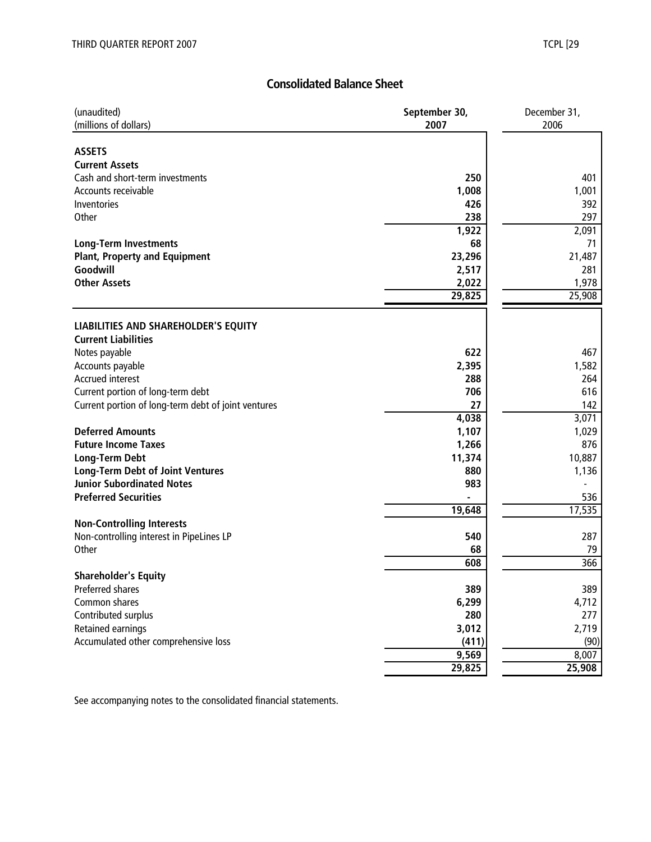# **Consolidated Balance Sheet**

| (unaudited)<br>(millions of dollars)                | September 30,<br>2007 | December 31,<br>2006 |
|-----------------------------------------------------|-----------------------|----------------------|
|                                                     |                       |                      |
| <b>ASSETS</b>                                       |                       |                      |
| <b>Current Assets</b>                               |                       |                      |
| Cash and short-term investments                     | 250                   | 401                  |
| Accounts receivable                                 | 1,008                 | 1,001                |
| Inventories                                         | 426                   | 392                  |
| Other                                               | 238                   | 297                  |
|                                                     | 1,922<br>68           | 2,091                |
| <b>Long-Term Investments</b>                        |                       | 71                   |
| <b>Plant, Property and Equipment</b><br>Goodwill    | 23,296                | 21,487               |
| <b>Other Assets</b>                                 | 2,517                 | 281                  |
|                                                     | 2,022<br>29,825       | 1,978<br>25,908      |
|                                                     |                       |                      |
| <b>LIABILITIES AND SHAREHOLDER'S EQUITY</b>         |                       |                      |
| <b>Current Liabilities</b>                          |                       |                      |
| Notes payable                                       | 622                   | 467                  |
| Accounts payable                                    | 2,395                 | 1,582                |
| <b>Accrued interest</b>                             | 288                   | 264                  |
| Current portion of long-term debt                   | 706                   | 616                  |
| Current portion of long-term debt of joint ventures | 27                    | 142                  |
|                                                     | 4,038                 | 3,071                |
| <b>Deferred Amounts</b>                             | 1,107                 | 1,029                |
| <b>Future Income Taxes</b>                          | 1,266                 | 876                  |
| <b>Long-Term Debt</b>                               | 11,374                | 10,887               |
| <b>Long-Term Debt of Joint Ventures</b>             | 880                   | 1,136                |
| <b>Junior Subordinated Notes</b>                    | 983                   |                      |
| <b>Preferred Securities</b>                         |                       | 536                  |
|                                                     | 19,648                | 17,535               |
| <b>Non-Controlling Interests</b>                    |                       |                      |
| Non-controlling interest in PipeLines LP            | 540                   | 287                  |
| Other                                               | 68                    | 79                   |
|                                                     | 608                   | 366                  |
| <b>Shareholder's Equity</b>                         |                       |                      |
| Preferred shares                                    | 389                   | 389                  |
| Common shares                                       | 6,299                 | 4,712                |
| Contributed surplus                                 | 280                   | 277                  |
| Retained earnings                                   | 3,012                 | 2,719                |
| Accumulated other comprehensive loss                | (411)                 | (90)                 |
|                                                     | 9,569                 | 8,007                |
|                                                     | 29,825                | 25,908               |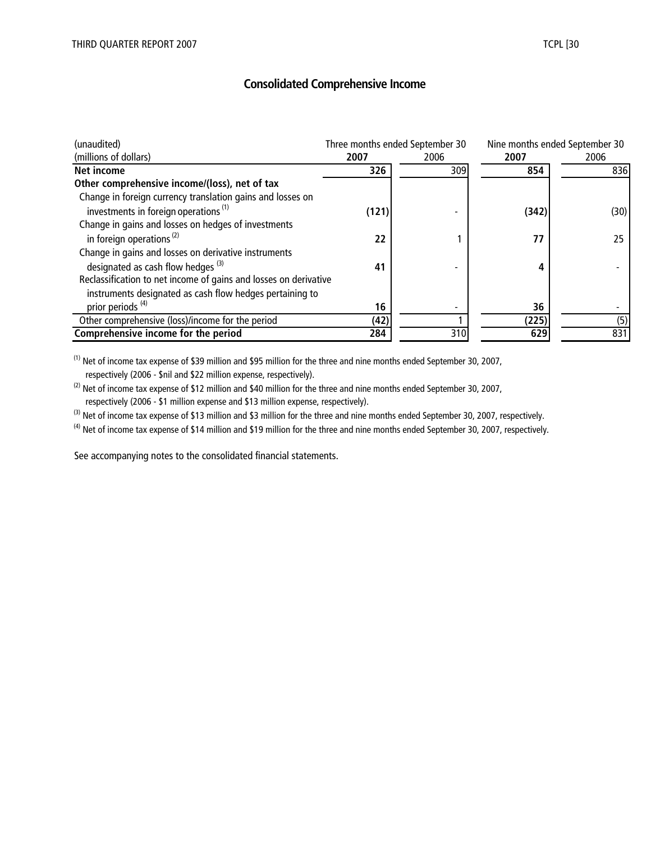# **Consolidated Comprehensive Income**

| (unaudited)                                                      |       | Three months ended September 30 |       | Nine months ended September 30 |
|------------------------------------------------------------------|-------|---------------------------------|-------|--------------------------------|
| (millions of dollars)                                            | 2007  | 2006                            | 2007  | 2006                           |
| <b>Net income</b>                                                | 326   | 309                             | 854   | 836                            |
| Other comprehensive income/(loss), net of tax                    |       |                                 |       |                                |
| Change in foreign currency translation gains and losses on       |       |                                 |       |                                |
| investments in foreign operations <sup>(1)</sup>                 | (121) |                                 | (342) | (30)                           |
| Change in gains and losses on hedges of investments              |       |                                 |       |                                |
| in foreign operations $(2)$                                      | 22    |                                 | 77    | 25                             |
| Change in gains and losses on derivative instruments             |       |                                 |       |                                |
| designated as cash flow hedges <sup>(3)</sup>                    | 41    |                                 |       |                                |
| Reclassification to net income of gains and losses on derivative |       |                                 |       |                                |
| instruments designated as cash flow hedges pertaining to         |       |                                 |       |                                |
| prior periods <sup>(4)</sup>                                     | 16    |                                 | 36    |                                |
| Other comprehensive (loss)/income for the period                 | (42)  |                                 | (225) | (5)                            |
| Comprehensive income for the period                              | 284   | 310                             | 629   | 831                            |

(1) Net of income tax expense of \$39 million and \$95 million for the three and nine months ended September 30, 2007, respectively (2006 - \$nil and \$22 million expense, respectively).

 $(2)$  Net of income tax expense of \$12 million and \$40 million for the three and nine months ended September 30, 2007, respectively (2006 - \$1 million expense and \$13 million expense, respectively).

<sup>(3)</sup> Net of income tax expense of \$13 million and \$3 million for the three and nine months ended September 30, 2007, respectively.

 $^{(4)}$  Net of income tax expense of \$14 million and \$19 million for the three and nine months ended September 30, 2007, respectively.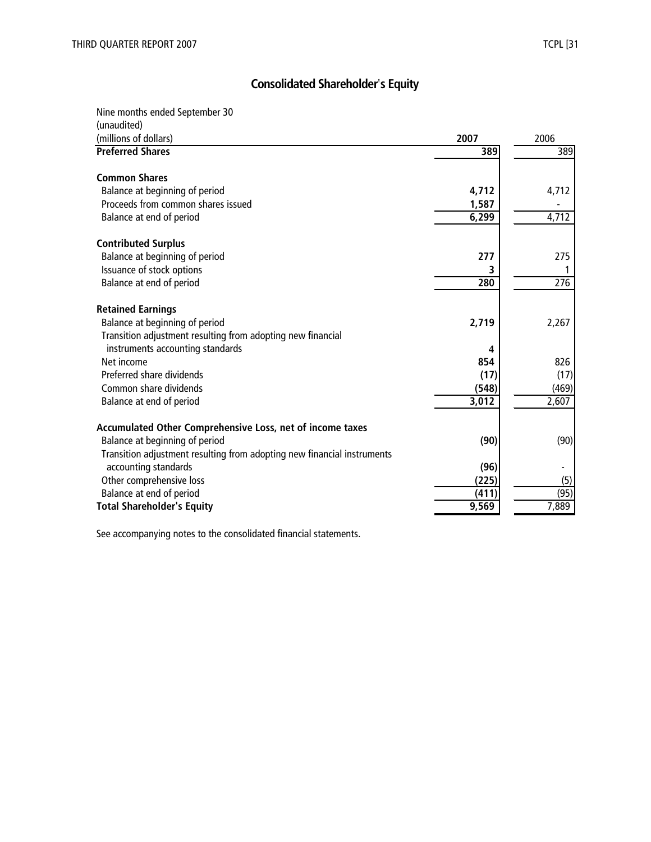# **Consolidated Shareholder**'**s Equity**

Nine months ended September 30

| (unaudited)                                                             |       |       |
|-------------------------------------------------------------------------|-------|-------|
| (millions of dollars)                                                   | 2007  | 2006  |
| <b>Preferred Shares</b>                                                 | 389   | 389   |
| <b>Common Shares</b>                                                    |       |       |
| Balance at beginning of period                                          | 4,712 | 4,712 |
| Proceeds from common shares issued                                      | 1,587 |       |
| Balance at end of period                                                | 6,299 | 4,712 |
| <b>Contributed Surplus</b>                                              |       |       |
| Balance at beginning of period                                          | 277   | 275   |
| Issuance of stock options                                               |       |       |
| Balance at end of period                                                | 280   | 276   |
|                                                                         |       |       |
| <b>Retained Earnings</b>                                                |       |       |
| Balance at beginning of period                                          | 2,719 | 2,267 |
| Transition adjustment resulting from adopting new financial             |       |       |
| instruments accounting standards                                        | 4     |       |
| Net income                                                              | 854   | 826   |
| Preferred share dividends                                               | (17)  | (17)  |
| Common share dividends                                                  | (548) | (469) |
| Balance at end of period                                                | 3,012 | 2,607 |
| Accumulated Other Comprehensive Loss, net of income taxes               |       |       |
| Balance at beginning of period                                          | (90)  | (90)  |
| Transition adjustment resulting from adopting new financial instruments |       |       |
| accounting standards                                                    | (96)  |       |
| Other comprehensive loss                                                | (225) | (5)   |
| Balance at end of period                                                | (411  | (95)  |
| <b>Total Shareholder's Equity</b>                                       | 9,569 | 7,889 |
|                                                                         |       |       |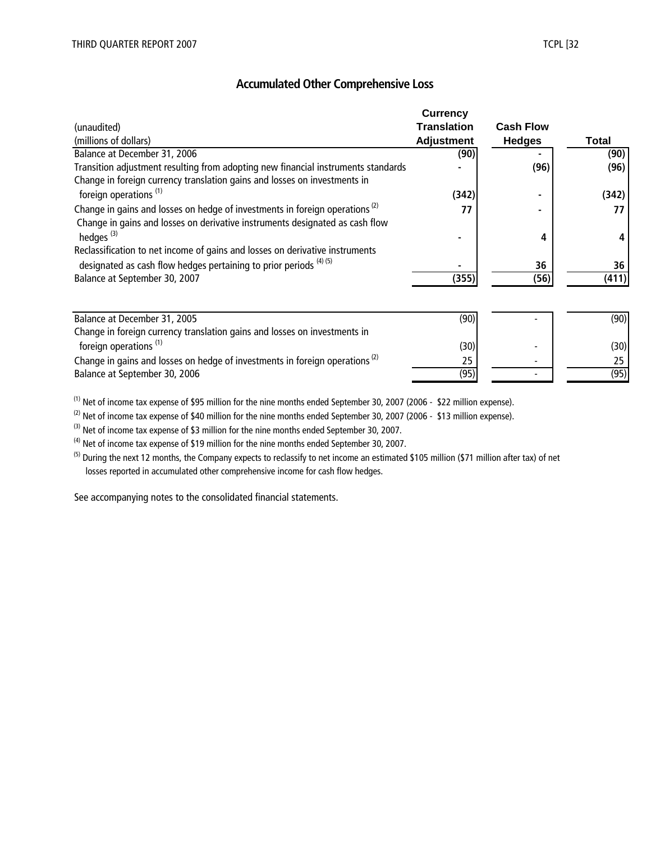# **Accumulated Other Comprehensive Loss**

|                                                                                         | <b>Currency</b>    |                  |              |
|-----------------------------------------------------------------------------------------|--------------------|------------------|--------------|
| (unaudited)                                                                             | <b>Translation</b> | <b>Cash Flow</b> |              |
| (millions of dollars)                                                                   | <b>Adjustment</b>  | <b>Hedges</b>    | <b>Total</b> |
| Balance at December 31, 2006                                                            | (90)               |                  | (90)         |
| Transition adjustment resulting from adopting new financial instruments standards       |                    | (96)             | (96)         |
| Change in foreign currency translation gains and losses on investments in               |                    |                  |              |
| foreign operations <sup>(1)</sup>                                                       | (342)              |                  | (342)        |
| Change in gains and losses on hedge of investments in foreign operations <sup>(2)</sup> | 77                 |                  | 77           |
| Change in gains and losses on derivative instruments designated as cash flow            |                    |                  |              |
| hedges <sup>(3)</sup>                                                                   |                    | 4                | Δ            |
| Reclassification to net income of gains and losses on derivative instruments            |                    |                  |              |
| designated as cash flow hedges pertaining to prior periods $(4)$ (5)                    |                    | 36               | 36           |
| Balance at September 30, 2007                                                           | (355)              | (56)             | (411)        |
|                                                                                         |                    |                  |              |
| Balance at December 31, 2005                                                            | (90)               |                  | (90)         |
| Change in foreign currency translation gains and losses on investments in               |                    |                  |              |
| foreign operations <sup>(1)</sup>                                                       | (30)               |                  | (30)         |
| Change in gains and losses on hedge of investments in foreign operations <sup>(2)</sup> | 25                 |                  | 25           |
| Balance at September 30, 2006                                                           | (95)               |                  | (95)         |

(1) Net of income tax expense of \$95 million for the nine months ended September 30, 2007 (2006 - \$22 million expense).

(2) Net of income tax expense of \$40 million for the nine months ended September 30, 2007 (2006 - \$13 million expense).

<sup>(3)</sup> Net of income tax expense of \$3 million for the nine months ended September 30, 2007.

 $(4)$  Net of income tax expense of \$19 million for the nine months ended September 30, 2007.

<sup>(5)</sup> During the next 12 months, the Company expects to reclassify to net income an estimated \$105 million (\$71 million after tax) of net losses reported in accumulated other comprehensive income for cash flow hedges.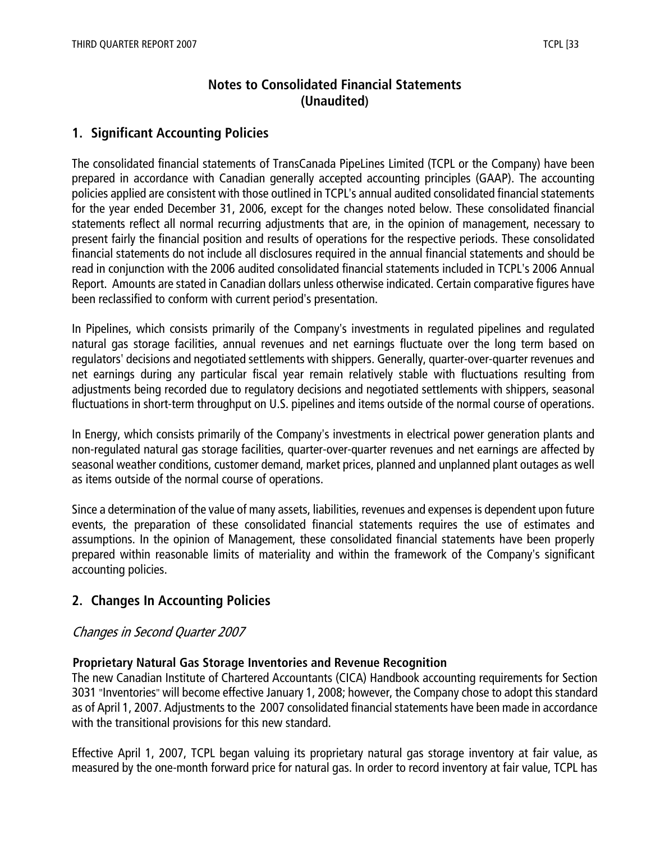# **Notes to Consolidated Financial Statements (Unaudited)**

# **1. Significant Accounting Policies**

The consolidated financial statements of TransCanada PipeLines Limited (TCPL or the Company) have been prepared in accordance with Canadian generally accepted accounting principles (GAAP). The accounting policies applied are consistent with those outlined in TCPL's annual audited consolidated financial statements for the year ended December 31, 2006, except for the changes noted below. These consolidated financial statements reflect all normal recurring adjustments that are, in the opinion of management, necessary to present fairly the financial position and results of operations for the respective periods. These consolidated financial statements do not include all disclosures required in the annual financial statements and should be read in conjunction with the 2006 audited consolidated financial statements included in TCPL's 2006 Annual Report. Amounts are stated in Canadian dollars unless otherwise indicated. Certain comparative figures have been reclassified to conform with current period's presentation.

In Pipelines, which consists primarily of the Company's investments in regulated pipelines and regulated natural gas storage facilities, annual revenues and net earnings fluctuate over the long term based on regulators' decisions and negotiated settlements with shippers. Generally, quarter-over-quarter revenues and net earnings during any particular fiscal year remain relatively stable with fluctuations resulting from adjustments being recorded due to regulatory decisions and negotiated settlements with shippers, seasonal fluctuations in short-term throughput on U.S. pipelines and items outside of the normal course of operations.

In Energy, which consists primarily of the Company's investments in electrical power generation plants and non-regulated natural gas storage facilities, quarter-over-quarter revenues and net earnings are affected by seasonal weather conditions, customer demand, market prices, planned and unplanned plant outages as well as items outside of the normal course of operations.

Since a determination of the value of many assets, liabilities, revenues and expenses is dependent upon future events, the preparation of these consolidated financial statements requires the use of estimates and assumptions. In the opinion of Management, these consolidated financial statements have been properly prepared within reasonable limits of materiality and within the framework of the Company's significant accounting policies.

# **2. Changes In Accounting Policies**

#### Changes in Second Quarter 2007

#### **Proprietary Natural Gas Storage Inventories and Revenue Recognition**

The new Canadian Institute of Chartered Accountants (CICA) Handbook accounting requirements for Section 3031 "Inventories" will become effective January 1, 2008; however, the Company chose to adopt this standard as of April 1, 2007. Adjustments to the 2007 consolidated financial statements have been made in accordance with the transitional provisions for this new standard.

Effective April 1, 2007, TCPL began valuing its proprietary natural gas storage inventory at fair value, as measured by the one-month forward price for natural gas. In order to record inventory at fair value, TCPL has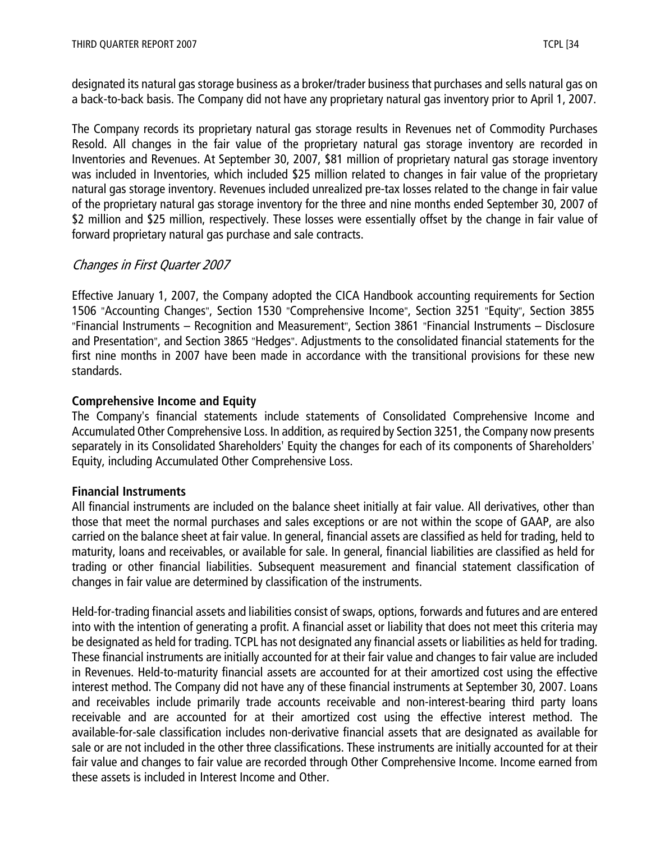designated its natural gas storage business as a broker/trader business that purchases and sells natural gas on a back-to-back basis. The Company did not have any proprietary natural gas inventory prior to April 1, 2007.

The Company records its proprietary natural gas storage results in Revenues net of Commodity Purchases Resold. All changes in the fair value of the proprietary natural gas storage inventory are recorded in Inventories and Revenues. At September 30, 2007, \$81 million of proprietary natural gas storage inventory was included in Inventories, which included \$25 million related to changes in fair value of the proprietary natural gas storage inventory. Revenues included unrealized pre-tax losses related to the change in fair value of the proprietary natural gas storage inventory for the three and nine months ended September 30, 2007 of \$2 million and \$25 million, respectively. These losses were essentially offset by the change in fair value of forward proprietary natural gas purchase and sale contracts.

# Changes in First Quarter 2007

Effective January 1, 2007, the Company adopted the CICA Handbook accounting requirements for Section 1506 "Accounting Changes", Section 1530 "Comprehensive Income", Section 3251 "Equity", Section 3855 "Financial Instruments – Recognition and Measurement", Section 3861 "Financial Instruments – Disclosure and Presentation", and Section 3865 "Hedges". Adjustments to the consolidated financial statements for the first nine months in 2007 have been made in accordance with the transitional provisions for these new standards.

# **Comprehensive Income and Equity**

The Company's financial statements include statements of Consolidated Comprehensive Income and Accumulated Other Comprehensive Loss. In addition, as required by Section 3251, the Company now presents separately in its Consolidated Shareholders' Equity the changes for each of its components of Shareholders' Equity, including Accumulated Other Comprehensive Loss.

# **Financial Instruments**

All financial instruments are included on the balance sheet initially at fair value. All derivatives, other than those that meet the normal purchases and sales exceptions or are not within the scope of GAAP, are also carried on the balance sheet at fair value. In general, financial assets are classified as held for trading, held to maturity, loans and receivables, or available for sale. In general, financial liabilities are classified as held for trading or other financial liabilities. Subsequent measurement and financial statement classification of changes in fair value are determined by classification of the instruments.

Held-for-trading financial assets and liabilities consist of swaps, options, forwards and futures and are entered into with the intention of generating a profit. A financial asset or liability that does not meet this criteria may be designated as held for trading. TCPL has not designated any financial assets or liabilities as held for trading. These financial instruments are initially accounted for at their fair value and changes to fair value are included in Revenues. Held-to-maturity financial assets are accounted for at their amortized cost using the effective interest method. The Company did not have any of these financial instruments at September 30, 2007. Loans and receivables include primarily trade accounts receivable and non-interest-bearing third party loans receivable and are accounted for at their amortized cost using the effective interest method. The available-for-sale classification includes non-derivative financial assets that are designated as available for sale or are not included in the other three classifications. These instruments are initially accounted for at their fair value and changes to fair value are recorded through Other Comprehensive Income. Income earned from these assets is included in Interest Income and Other.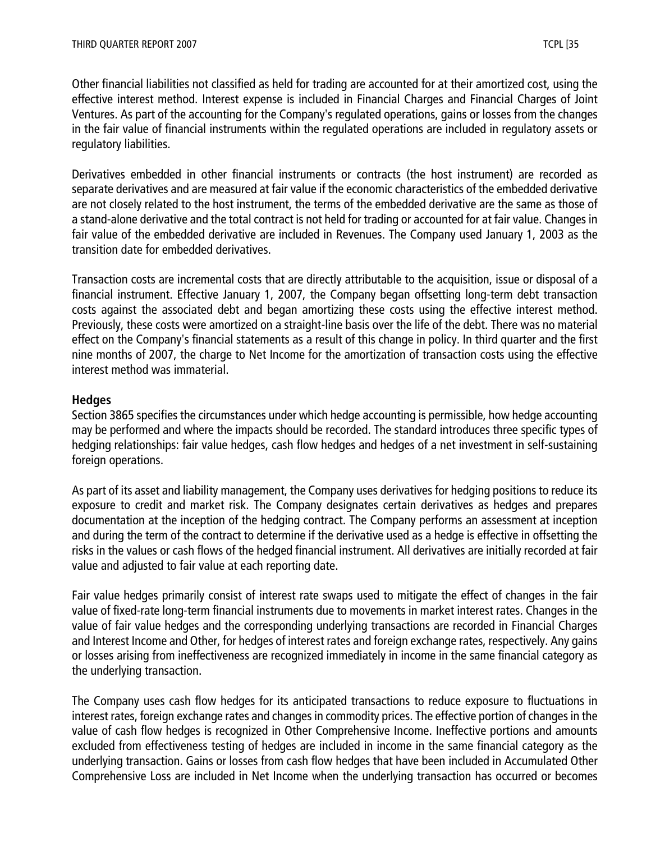Other financial liabilities not classified as held for trading are accounted for at their amortized cost, using the effective interest method. Interest expense is included in Financial Charges and Financial Charges of Joint Ventures. As part of the accounting for the Company's regulated operations, gains or losses from the changes in the fair value of financial instruments within the regulated operations are included in regulatory assets or regulatory liabilities.

Derivatives embedded in other financial instruments or contracts (the host instrument) are recorded as separate derivatives and are measured at fair value if the economic characteristics of the embedded derivative are not closely related to the host instrument, the terms of the embedded derivative are the same as those of a stand-alone derivative and the total contract is not held for trading or accounted for at fair value. Changes in fair value of the embedded derivative are included in Revenues. The Company used January 1, 2003 as the transition date for embedded derivatives.

Transaction costs are incremental costs that are directly attributable to the acquisition, issue or disposal of a financial instrument. Effective January 1, 2007, the Company began offsetting long-term debt transaction costs against the associated debt and began amortizing these costs using the effective interest method. Previously, these costs were amortized on a straight-line basis over the life of the debt. There was no material effect on the Company's financial statements as a result of this change in policy. In third quarter and the first nine months of 2007, the charge to Net Income for the amortization of transaction costs using the effective interest method was immaterial.

#### **Hedges**

Section 3865 specifies the circumstances under which hedge accounting is permissible, how hedge accounting may be performed and where the impacts should be recorded. The standard introduces three specific types of hedging relationships: fair value hedges, cash flow hedges and hedges of a net investment in self-sustaining foreign operations.

As part of its asset and liability management, the Company uses derivatives for hedging positions to reduce its exposure to credit and market risk. The Company designates certain derivatives as hedges and prepares documentation at the inception of the hedging contract. The Company performs an assessment at inception and during the term of the contract to determine if the derivative used as a hedge is effective in offsetting the risks in the values or cash flows of the hedged financial instrument. All derivatives are initially recorded at fair value and adjusted to fair value at each reporting date.

Fair value hedges primarily consist of interest rate swaps used to mitigate the effect of changes in the fair value of fixed-rate long-term financial instruments due to movements in market interest rates. Changes in the value of fair value hedges and the corresponding underlying transactions are recorded in Financial Charges and Interest Income and Other, for hedges of interest rates and foreign exchange rates, respectively. Any gains or losses arising from ineffectiveness are recognized immediately in income in the same financial category as the underlying transaction.

The Company uses cash flow hedges for its anticipated transactions to reduce exposure to fluctuations in interest rates, foreign exchange rates and changes in commodity prices. The effective portion of changes in the value of cash flow hedges is recognized in Other Comprehensive Income. Ineffective portions and amounts excluded from effectiveness testing of hedges are included in income in the same financial category as the underlying transaction. Gains or losses from cash flow hedges that have been included in Accumulated Other Comprehensive Loss are included in Net Income when the underlying transaction has occurred or becomes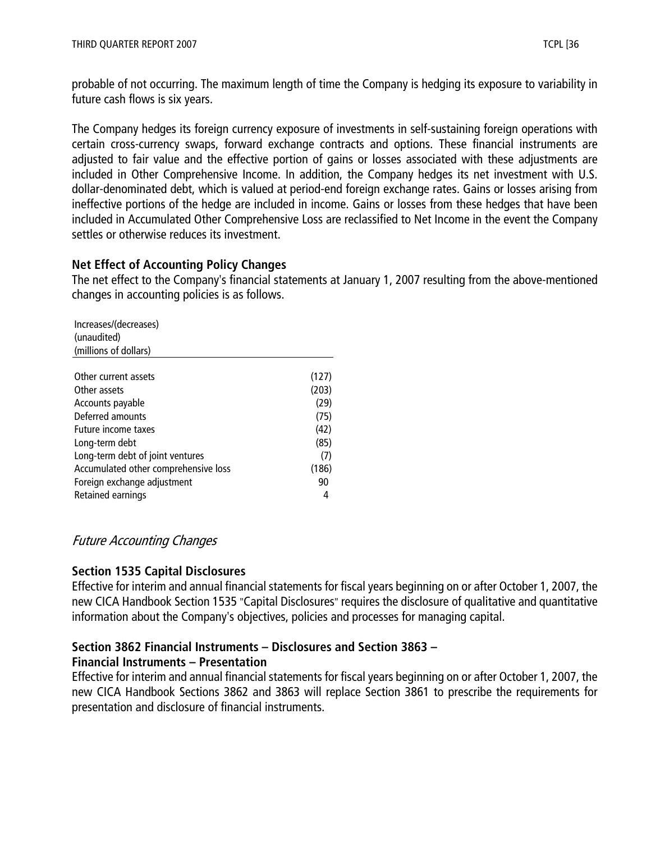probable of not occurring. The maximum length of time the Company is hedging its exposure to variability in future cash flows is six years.

The Company hedges its foreign currency exposure of investments in self-sustaining foreign operations with certain cross-currency swaps, forward exchange contracts and options. These financial instruments are adjusted to fair value and the effective portion of gains or losses associated with these adjustments are included in Other Comprehensive Income. In addition, the Company hedges its net investment with U.S. dollar-denominated debt, which is valued at period-end foreign exchange rates. Gains or losses arising from ineffective portions of the hedge are included in income. Gains or losses from these hedges that have been included in Accumulated Other Comprehensive Loss are reclassified to Net Income in the event the Company settles or otherwise reduces its investment.

# **Net Effect of Accounting Policy Changes**

The net effect to the Company's financial statements at January 1, 2007 resulting from the above-mentioned changes in accounting policies is as follows.

| Increases/(decreases)                |       |
|--------------------------------------|-------|
| (unaudited)                          |       |
| (millions of dollars)                |       |
|                                      |       |
| Other current assets                 | (127) |
| Other assets                         | (203) |
| Accounts payable                     | (29)  |
| Deferred amounts                     | (75)  |
| Future income taxes                  | (42)  |
| Long-term debt                       | (85)  |
| Long-term debt of joint ventures     | (7)   |
| Accumulated other comprehensive loss | (186) |
| Foreign exchange adjustment          | 90    |
| Retained earnings                    | 4     |

# Future Accounting Changes

# **Section 1535 Capital Disclosures**

Effective for interim and annual financial statements for fiscal years beginning on or after October 1, 2007, the new CICA Handbook Section 1535 "Capital Disclosures" requires the disclosure of qualitative and quantitative information about the Company's objectives, policies and processes for managing capital.

# **Section 3862 Financial Instruments – Disclosures and Section 3863 –**

# **Financial Instruments – Presentation**

Effective for interim and annual financial statements for fiscal years beginning on or after October 1, 2007, the new CICA Handbook Sections 3862 and 3863 will replace Section 3861 to prescribe the requirements for presentation and disclosure of financial instruments.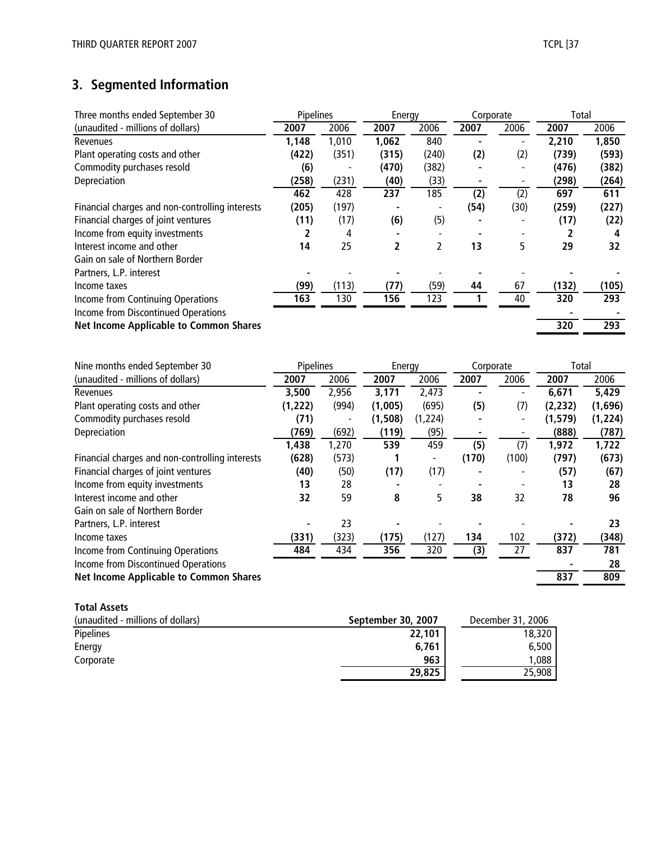# **3. Segmented Information**

| Three months ended September 30                 | Pipelines |       | Energy             |                          | Corporate        |                          | Total          |                  |
|-------------------------------------------------|-----------|-------|--------------------|--------------------------|------------------|--------------------------|----------------|------------------|
| (unaudited - millions of dollars)               | 2007      | 2006  | 2007               | 2006                     | 2007             | 2006                     | 2007           | 2006             |
| Revenues                                        | 1,148     | 1,010 | 1,062              | 840                      | ä,               | $\overline{\phantom{a}}$ | 2,210          | 1,850            |
| Plant operating costs and other                 | (422)     | (351) | (315)              | (240)                    | (2)              | (2)                      | (739)          | (593)            |
| Commodity purchases resold                      | (6)       |       | (470)              | (382)                    |                  | $\overline{\phantom{0}}$ | (476)          | (382)            |
| Depreciation                                    | (258)     | (231) | (40)               | (33)                     | ٠                |                          | (298)          | (264)            |
|                                                 | 462       | 428   | 237                | 185                      | $\overline{(2)}$ | $\overline{(2)}$         | 697            | 611              |
| Financial charges and non-controlling interests | (205)     | (197) |                    |                          | (54)             | (30)                     | (259)          | (227)            |
| Financial charges of joint ventures             | (11)      | (17)  | (6)                | (5)                      |                  |                          | (17)           | (22)             |
| Income from equity investments                  | 2         | 4     |                    | $\overline{\phantom{a}}$ | $\blacksquare$   |                          | $\overline{2}$ | 4                |
| Interest income and other                       | 14        | 25    | $\overline{2}$     | $\overline{2}$           | 13               | 5                        | 29             | 32               |
| Gain on sale of Northern Border                 |           |       |                    |                          |                  |                          |                |                  |
| Partners, L.P. interest                         |           |       |                    |                          |                  |                          |                |                  |
| Income taxes                                    | (99)      | (113) | (77)               | (59)                     | 44               | 67                       | (132)          | (105)            |
| Income from Continuing Operations               | 163       | 130   | 156                | $\overline{123}$         | 1                | 40                       | 320            | $\overline{293}$ |
| Income from Discontinued Operations             |           |       |                    |                          |                  |                          |                |                  |
| <b>Net Income Applicable to Common Shares</b>   |           |       |                    |                          |                  |                          | 320            | 293              |
|                                                 |           |       |                    |                          |                  |                          |                |                  |
| Nine months ended September 30                  | Pipelines |       | Energy             |                          | Corporate        |                          | Total          |                  |
| (unaudited - millions of dollars)               | 2007      | 2006  | 2007               | 2006                     | 2007             | 2006                     | 2007           | 2006             |
| Revenues                                        | 3,500     | 2,956 | 3,171              | 2,473                    |                  | $\blacksquare$           | 6,671          | 5,429            |
| Plant operating costs and other                 | (1, 222)  | (994) | (1,005)            | (695)                    | (5)              | (7)                      | (2, 232)       | (1,696)          |
| Commodity purchases resold                      | (71)      |       | (1, 508)           | (1, 224)                 |                  |                          | (1, 579)       | (1, 224)         |
| Depreciation                                    | (769)     | (692) | (119)              | (95)                     | $\blacksquare$   |                          | (888)          | (787)            |
|                                                 | 1,438     | 1,270 | 539                | 459                      | (5)              | (7)                      | 1,972          | 1,722            |
| Financial charges and non-controlling interests | (628)     | (573) | 1                  | $\overline{\phantom{a}}$ | (170)            | (100)                    | (797)          | (673)            |
| Financial charges of joint ventures             | (40)      | (50)  | (17)               | (17)                     |                  |                          | (57)           | (67)             |
| Income from equity investments                  | 13        | 28    |                    |                          | $\blacksquare$   |                          | 13             | 28               |
| Interest income and other                       | 32        | 59    | 8                  | 5                        | 38               | 32                       | 78             | 96               |
| Gain on sale of Northern Border                 |           |       |                    |                          |                  |                          |                |                  |
| Partners, L.P. interest                         |           | 23    |                    |                          |                  |                          |                | 23               |
| Income taxes                                    | (331)     | (323) | (175)              | (127)                    | 134              | 102                      | (372)          | (348)            |
| Income from Continuing Operations               | 484       | 434   | 356                | 320                      | (3)              | 27                       | 837            | 781              |
| Income from Discontinued Operations             |           |       |                    |                          |                  |                          |                | 28               |
| <b>Net Income Applicable to Common Shares</b>   |           |       |                    |                          |                  |                          | 837            | 809              |
|                                                 |           |       |                    |                          |                  |                          |                |                  |
| <b>Total Assets</b>                             |           |       |                    |                          |                  |                          |                |                  |
| (unaudited - millions of dollars)               |           |       | September 30, 2007 |                          |                  | December 31, 2006        |                |                  |
| <b>Dinolinos</b>                                |           |       |                    | <b>22 101</b>            |                  |                          | 12.320 L       |                  |

| (unaudited - millions of dollars) | September 30, 2007 | December 31, 2006 |
|-----------------------------------|--------------------|-------------------|
| Pipelines                         | 22,101             | 18,320            |
| Energy                            | 6.761              | 6.500             |
| Corporate                         | 963                | .088              |
|                                   | 29,825             | 25,908            |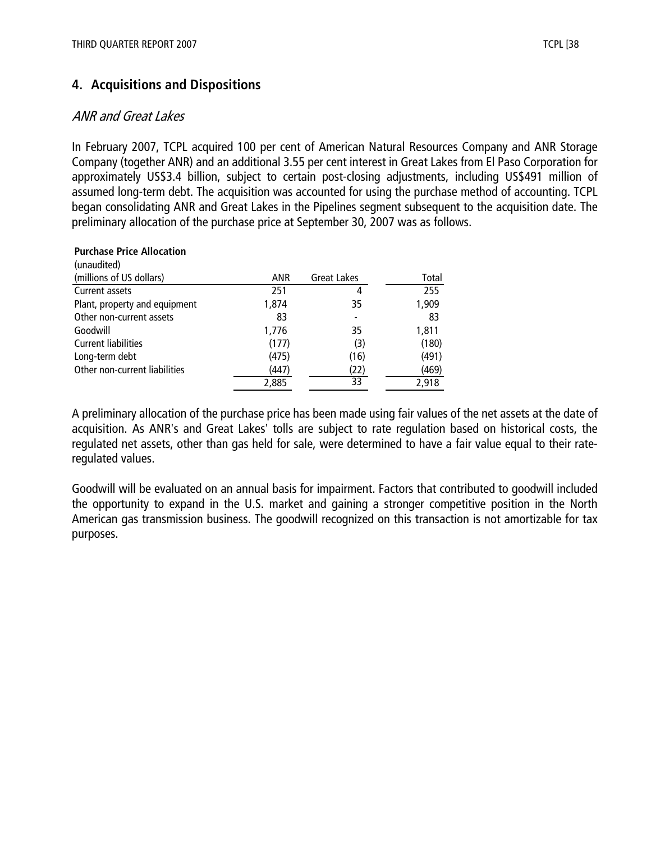# **4. Acquisitions and Dispositions**

# ANR and Great Lakes

In February 2007, TCPL acquired 100 per cent of American Natural Resources Company and ANR Storage Company (together ANR) and an additional 3.55 per cent interest in Great Lakes from El Paso Corporation for approximately US\$3.4 billion, subject to certain post-closing adjustments, including US\$491 million of assumed long-term debt. The acquisition was accounted for using the purchase method of accounting. TCPL began consolidating ANR and Great Lakes in the Pipelines segment subsequent to the acquisition date. The preliminary allocation of the purchase price at September 30, 2007 was as follows.

#### **Purchase Price Allocation**  $(unquation)$

| (unaudited)                   |            |                    |       |
|-------------------------------|------------|--------------------|-------|
| (millions of US dollars)      | <b>ANR</b> | <b>Great Lakes</b> | Total |
| Current assets                | 251        | 4                  | 255   |
| Plant, property and equipment | 1,874      | 35                 | 1,909 |
| Other non-current assets      | 83         |                    | 83    |
| Goodwill                      | 1,776      | 35                 | 1,811 |
| <b>Current liabilities</b>    | (177)      | (3)                | (180) |
| Long-term debt                | (475)      | (16)               | (491) |
| Other non-current liabilities | (447)      | (22)               | (469) |
|                               | 2,885      | 33                 | 2,918 |
|                               |            |                    |       |

A preliminary allocation of the purchase price has been made using fair values of the net assets at the date of acquisition. As ANR's and Great Lakes' tolls are subject to rate regulation based on historical costs, the regulated net assets, other than gas held for sale, were determined to have a fair value equal to their rateregulated values.

Goodwill will be evaluated on an annual basis for impairment. Factors that contributed to goodwill included the opportunity to expand in the U.S. market and gaining a stronger competitive position in the North American gas transmission business. The goodwill recognized on this transaction is not amortizable for tax purposes.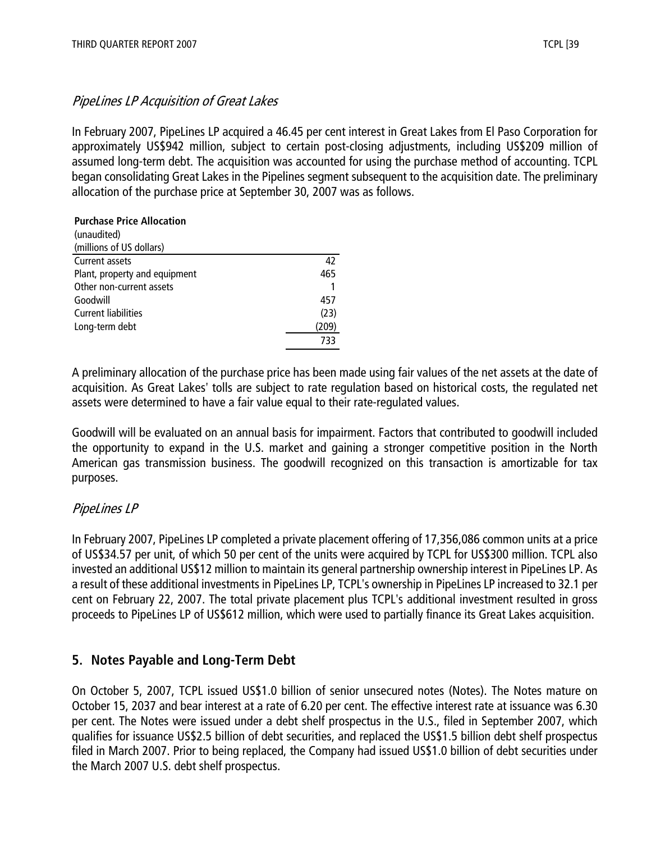# PipeLines LP Acquisition of Great Lakes

In February 2007, PipeLines LP acquired a 46.45 per cent interest in Great Lakes from El Paso Corporation for approximately US\$942 million, subject to certain post-closing adjustments, including US\$209 million of assumed long-term debt. The acquisition was accounted for using the purchase method of accounting. TCPL began consolidating Great Lakes in the Pipelines segment subsequent to the acquisition date. The preliminary allocation of the purchase price at September 30, 2007 was as follows.

#### **Purchase Price Allocation**

| (unaudited)                   |       |
|-------------------------------|-------|
| (millions of US dollars)      |       |
| Current assets                | 42    |
| Plant, property and equipment | 465   |
| Other non-current assets      |       |
| Goodwill                      | 457   |
| <b>Current liabilities</b>    | (23)  |
| Long-term debt                | (209) |
|                               | 733   |

A preliminary allocation of the purchase price has been made using fair values of the net assets at the date of acquisition. As Great Lakes' tolls are subject to rate regulation based on historical costs, the regulated net assets were determined to have a fair value equal to their rate-regulated values.

Goodwill will be evaluated on an annual basis for impairment. Factors that contributed to goodwill included the opportunity to expand in the U.S. market and gaining a stronger competitive position in the North American gas transmission business. The goodwill recognized on this transaction is amortizable for tax purposes.

# PipeLines LP

In February 2007, PipeLines LP completed a private placement offering of 17,356,086 common units at a price of US\$34.57 per unit, of which 50 per cent of the units were acquired by TCPL for US\$300 million. TCPL also invested an additional US\$12 million to maintain its general partnership ownership interest in PipeLines LP. As a result of these additional investments in PipeLines LP, TCPL's ownership in PipeLines LP increased to 32.1 per cent on February 22, 2007. The total private placement plus TCPL's additional investment resulted in gross proceeds to PipeLines LP of US\$612 million, which were used to partially finance its Great Lakes acquisition.

# **5. Notes Payable and Long-Term Debt**

On October 5, 2007, TCPL issued US\$1.0 billion of senior unsecured notes (Notes). The Notes mature on October 15, 2037 and bear interest at a rate of 6.20 per cent. The effective interest rate at issuance was 6.30 per cent. The Notes were issued under a debt shelf prospectus in the U.S., filed in September 2007, which qualifies for issuance US\$2.5 billion of debt securities, and replaced the US\$1.5 billion debt shelf prospectus filed in March 2007. Prior to being replaced, the Company had issued US\$1.0 billion of debt securities under the March 2007 U.S. debt shelf prospectus.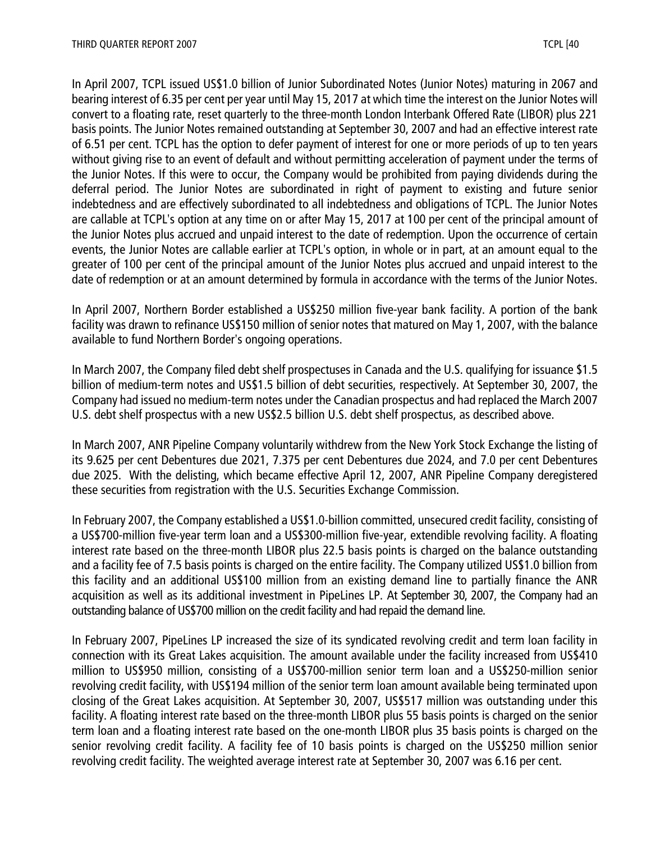In April 2007, TCPL issued US\$1.0 billion of Junior Subordinated Notes (Junior Notes) maturing in 2067 and bearing interest of 6.35 per cent per year until May 15, 2017 at which time the interest on the Junior Notes will convert to a floating rate, reset quarterly to the three-month London Interbank Offered Rate (LIBOR) plus 221 basis points. The Junior Notes remained outstanding at September 30, 2007 and had an effective interest rate of 6.51 per cent. TCPL has the option to defer payment of interest for one or more periods of up to ten years without giving rise to an event of default and without permitting acceleration of payment under the terms of the Junior Notes. If this were to occur, the Company would be prohibited from paying dividends during the deferral period. The Junior Notes are subordinated in right of payment to existing and future senior indebtedness and are effectively subordinated to all indebtedness and obligations of TCPL. The Junior Notes are callable at TCPL's option at any time on or after May 15, 2017 at 100 per cent of the principal amount of the Junior Notes plus accrued and unpaid interest to the date of redemption. Upon the occurrence of certain events, the Junior Notes are callable earlier at TCPL's option, in whole or in part, at an amount equal to the greater of 100 per cent of the principal amount of the Junior Notes plus accrued and unpaid interest to the date of redemption or at an amount determined by formula in accordance with the terms of the Junior Notes.

In April 2007, Northern Border established a US\$250 million five-year bank facility. A portion of the bank facility was drawn to refinance US\$150 million of senior notes that matured on May 1, 2007, with the balance available to fund Northern Border's ongoing operations.

In March 2007, the Company filed debt shelf prospectuses in Canada and the U.S. qualifying for issuance \$1.5 billion of medium-term notes and US\$1.5 billion of debt securities, respectively. At September 30, 2007, the Company had issued no medium-term notes under the Canadian prospectus and had replaced the March 2007 U.S. debt shelf prospectus with a new US\$2.5 billion U.S. debt shelf prospectus, as described above.

In March 2007, ANR Pipeline Company voluntarily withdrew from the New York Stock Exchange the listing of its 9.625 per cent Debentures due 2021, 7.375 per cent Debentures due 2024, and 7.0 per cent Debentures due 2025. With the delisting, which became effective April 12, 2007, ANR Pipeline Company deregistered these securities from registration with the U.S. Securities Exchange Commission.

In February 2007, the Company established a US\$1.0-billion committed, unsecured credit facility, consisting of a US\$700-million five-year term loan and a US\$300-million five-year, extendible revolving facility. A floating interest rate based on the three-month LIBOR plus 22.5 basis points is charged on the balance outstanding and a facility fee of 7.5 basis points is charged on the entire facility. The Company utilized US\$1.0 billion from this facility and an additional US\$100 million from an existing demand line to partially finance the ANR acquisition as well as its additional investment in PipeLines LP. At September 30, 2007, the Company had an outstanding balance of US\$700 million on the credit facility and had repaid the demand line.

In February 2007, PipeLines LP increased the size of its syndicated revolving credit and term loan facility in connection with its Great Lakes acquisition. The amount available under the facility increased from US\$410 million to US\$950 million, consisting of a US\$700-million senior term loan and a US\$250-million senior revolving credit facility, with US\$194 million of the senior term loan amount available being terminated upon closing of the Great Lakes acquisition. At September 30, 2007, US\$517 million was outstanding under this facility. A floating interest rate based on the three-month LIBOR plus 55 basis points is charged on the senior term loan and a floating interest rate based on the one-month LIBOR plus 35 basis points is charged on the senior revolving credit facility. A facility fee of 10 basis points is charged on the US\$250 million senior revolving credit facility. The weighted average interest rate at September 30, 2007 was 6.16 per cent.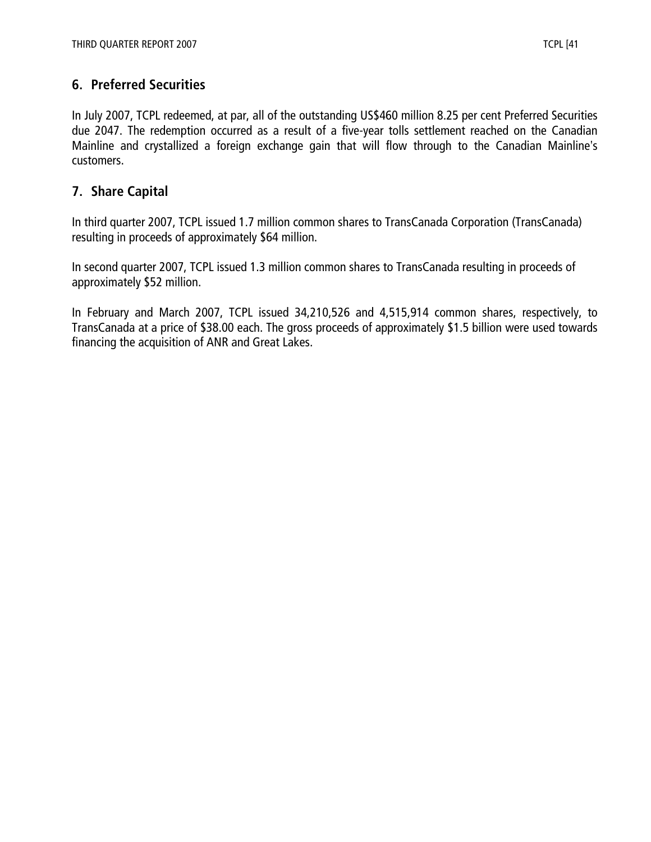# **6. Preferred Securities**

In July 2007, TCPL redeemed, at par, all of the outstanding US\$460 million 8.25 per cent Preferred Securities due 2047. The redemption occurred as a result of a five-year tolls settlement reached on the Canadian Mainline and crystallized a foreign exchange gain that will flow through to the Canadian Mainline's customers.

# **7. Share Capital**

In third quarter 2007, TCPL issued 1.7 million common shares to TransCanada Corporation (TransCanada) resulting in proceeds of approximately \$64 million.

In second quarter 2007, TCPL issued 1.3 million common shares to TransCanada resulting in proceeds of approximately \$52 million.

In February and March 2007, TCPL issued 34,210,526 and 4,515,914 common shares, respectively, to TransCanada at a price of \$38.00 each. The gross proceeds of approximately \$1.5 billion were used towards financing the acquisition of ANR and Great Lakes.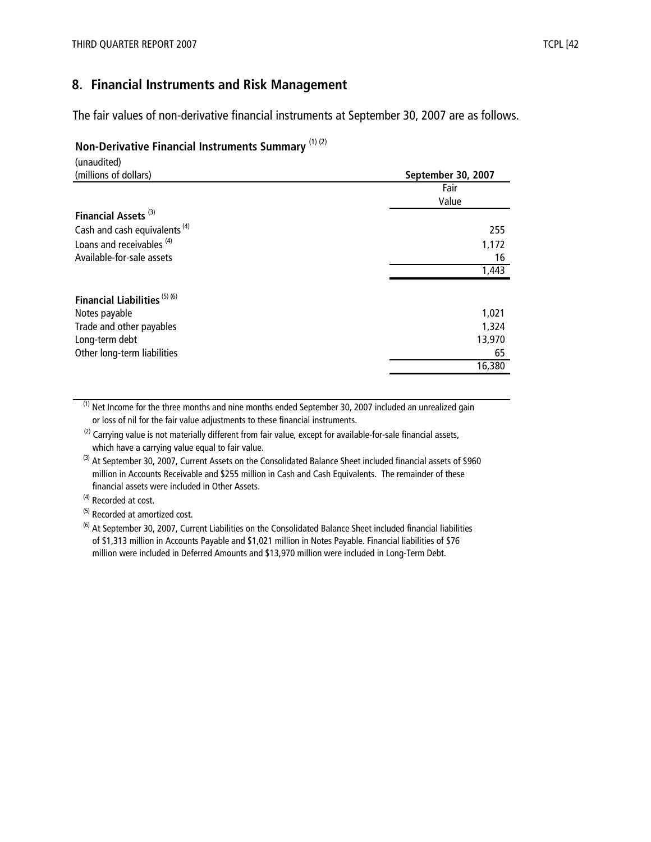# **8. Financial Instruments and Risk Management**

The fair values of non-derivative financial instruments at September 30, 2007 are as follows.

#### **Non-Derivative Financial Instruments Summary** (1) (2)

| (unaudited)                              |                    |
|------------------------------------------|--------------------|
| (millions of dollars)                    | September 30, 2007 |
|                                          | Fair               |
|                                          | Value              |
| Financial Assets <sup>(3)</sup>          |                    |
| Cash and cash equivalents <sup>(4)</sup> | 255                |
| Loans and receivables <sup>(4)</sup>     | 1,172              |
| Available-for-sale assets                | 16                 |
|                                          | 1,443              |
| Financial Liabilities <sup>(5)(6)</sup>  |                    |
| Notes payable                            | 1,021              |
| Trade and other payables                 | 1,324              |
| Long-term debt                           | 13,970             |
| Other long-term liabilities              | 65                 |
|                                          | 16,380             |

 $<sup>(1)</sup>$  Net Income for the three months and nine months ended September 30, 2007 included an unrealized gain</sup> or loss of nil for the fair value adjustments to these financial instruments.

 $(2)$  Carrying value is not materially different from fair value, except for available-for-sale financial assets, which have a carrying value equal to fair value.

<sup>(3)</sup> At September 30, 2007, Current Assets on the Consolidated Balance Sheet included financial assets of \$960 million in Accounts Receivable and \$255 million in Cash and Cash Equivalents. The remainder of these financial assets were included in Other Assets.

(4) Recorded at cost.

(5) Recorded at amortized cost.

 $^{(6)}$  At September 30, 2007, Current Liabilities on the Consolidated Balance Sheet included financial liabilities of \$1,313 million in Accounts Payable and \$1,021 million in Notes Payable. Financial liabilities of \$76 million were included in Deferred Amounts and \$13,970 million were included in Long-Term Debt.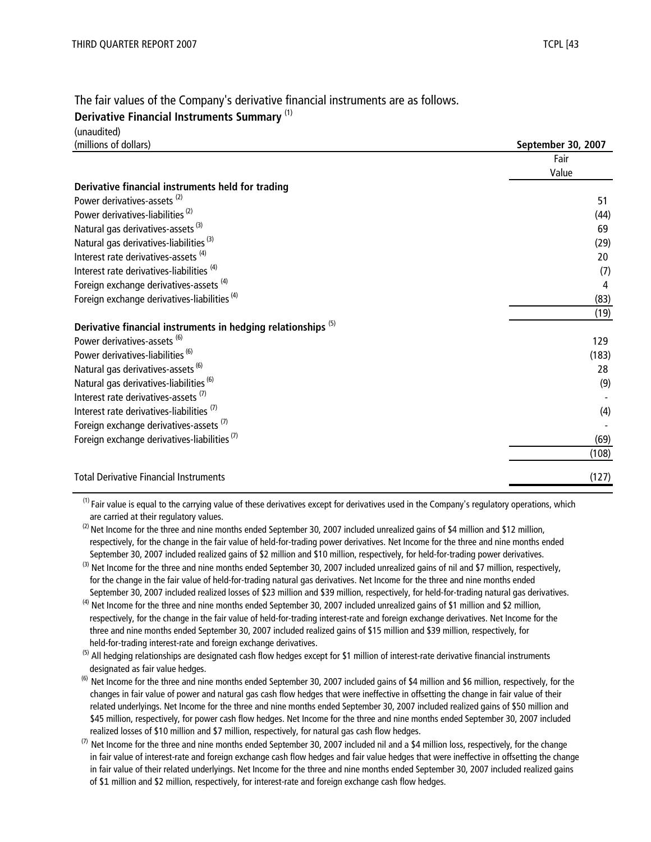# The fair values of the Company's derivative financial instruments are as follows.

#### **Derivative Financial Instruments Summary** (1)

| (unaudited)                                                              |                    |
|--------------------------------------------------------------------------|--------------------|
| (millions of dollars)                                                    | September 30, 2007 |
|                                                                          | Fair               |
|                                                                          | Value              |
| Derivative financial instruments held for trading                        |                    |
| Power derivatives-assets <sup>(2)</sup>                                  | 51                 |
| Power derivatives-liabilities <sup>(2)</sup>                             | (44)               |
| Natural gas derivatives-assets <sup>(3)</sup>                            | 69                 |
| Natural gas derivatives-liabilities <sup>(3)</sup>                       | (29)               |
| Interest rate derivatives-assets <sup>(4)</sup>                          | 20                 |
| Interest rate derivatives-liabilities <sup>(4)</sup>                     | (7)                |
| Foreign exchange derivatives-assets <sup>(4)</sup>                       | 4                  |
| Foreign exchange derivatives-liabilities <sup>(4)</sup>                  | (83)               |
|                                                                          | (19)               |
| Derivative financial instruments in hedging relationships <sup>(5)</sup> |                    |
| Power derivatives-assets <sup>(6)</sup>                                  | 129                |
| Power derivatives-liabilities <sup>(6)</sup>                             | (183)              |
| Natural gas derivatives-assets <sup>(6)</sup>                            | 28                 |
| Natural gas derivatives-liabilities <sup>(6)</sup>                       | (9)                |
| Interest rate derivatives-assets <sup>(7)</sup>                          |                    |
| Interest rate derivatives-liabilities <sup>(7)</sup>                     | (4)                |
| Foreign exchange derivatives-assets <sup>(7)</sup>                       |                    |
| Foreign exchange derivatives-liabilities <sup>(7)</sup>                  | (69)               |
|                                                                          | (108)              |
| <b>Total Derivative Financial Instruments</b>                            | (127)              |

 are carried at their regulatory values.  $<sup>(1)</sup>$  Fair value is equal to the carrying value of these derivatives except for derivatives used in the Company's regulatory operations, which</sup>

(2) Net Income for the three and nine months ended September 30, 2007 included unrealized gains of \$4 million and \$12 million, respectively, for the change in the fair value of held-for-trading power derivatives. Net Income for the three and nine months ended September 30, 2007 included realized gains of \$2 million and \$10 million, respectively, for held-for-trading power derivatives.

<sup>(3)</sup> Net Income for the three and nine months ended September 30, 2007 included unrealized gains of nil and \$7 million, respectively, for the change in the fair value of held-for-trading natural gas derivatives. Net Income for the three and nine months ended September 30, 2007 included realized losses of \$23 million and \$39 million, respectively, for held-for-trading natural gas derivatives.

 $<sup>(4)</sup>$  Net Income for the three and nine months ended September 30, 2007 included unrealized gains of \$1 million and \$2 million,</sup> respectively, for the change in the fair value of held-for-trading interest-rate and foreign exchange derivatives. Net Income for the three and nine months ended September 30, 2007 included realized gains of \$15 million and \$39 million, respectively, for held-for-trading interest-rate and foreign exchange derivatives.

<sup>(5)</sup> All hedging relationships are designated cash flow hedges except for \$1 million of interest-rate derivative financial instruments designated as fair value hedges.

<sup>(6)</sup> Net Income for the three and nine months ended September 30, 2007 included gains of \$4 million and \$6 million, respectively, for the changes in fair value of power and natural gas cash flow hedges that were ineffective in offsetting the change in fair value of their related underlyings. Net Income for the three and nine months ended September 30, 2007 included realized gains of \$50 million and \$45 million, respectively, for power cash flow hedges. Net Income for the three and nine months ended September 30, 2007 included realized losses of \$10 million and \$7 million, respectively, for natural gas cash flow hedges.

 $^{(7)}$  Net Income for the three and nine months ended September 30, 2007 included nil and a \$4 million loss, respectively, for the change in fair value of interest-rate and foreign exchange cash flow hedges and fair value hedges that were ineffective in offsetting the change in fair value of their related underlyings. Net Income for the three and nine months ended September 30, 2007 included realized gains of \$1 million and \$2 million, respectively, for interest-rate and foreign exchange cash flow hedges.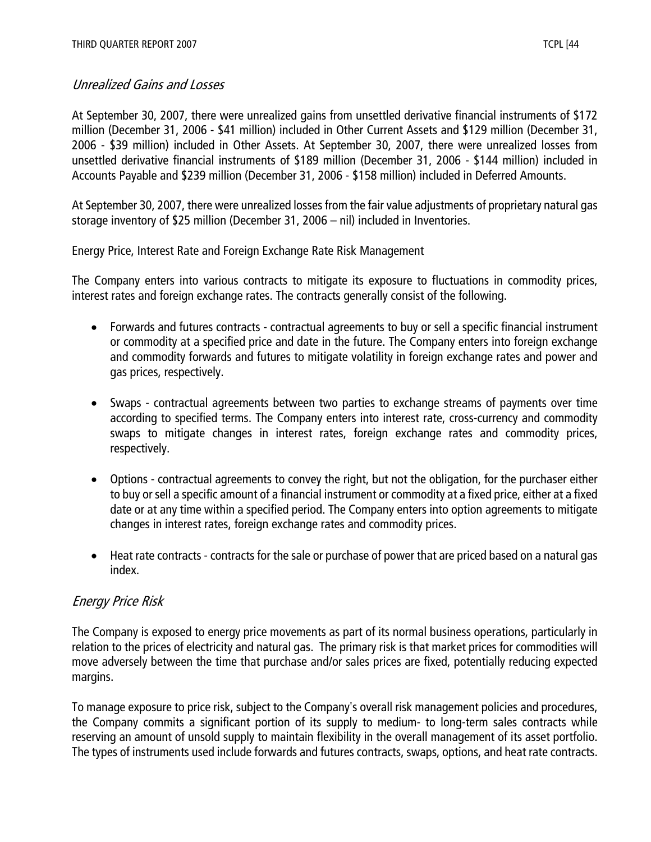# Unrealized Gains and Losses

At September 30, 2007, there were unrealized gains from unsettled derivative financial instruments of \$172 million (December 31, 2006 - \$41 million) included in Other Current Assets and \$129 million (December 31, 2006 - \$39 million) included in Other Assets. At September 30, 2007, there were unrealized losses from unsettled derivative financial instruments of \$189 million (December 31, 2006 - \$144 million) included in Accounts Payable and \$239 million (December 31, 2006 - \$158 million) included in Deferred Amounts.

At September 30, 2007, there were unrealized losses from the fair value adjustments of proprietary natural gas storage inventory of \$25 million (December 31, 2006 – nil) included in Inventories.

Energy Price, Interest Rate and Foreign Exchange Rate Risk Management

The Company enters into various contracts to mitigate its exposure to fluctuations in commodity prices, interest rates and foreign exchange rates. The contracts generally consist of the following.

- Forwards and futures contracts contractual agreements to buy or sell a specific financial instrument or commodity at a specified price and date in the future. The Company enters into foreign exchange and commodity forwards and futures to mitigate volatility in foreign exchange rates and power and gas prices, respectively.
- Swaps contractual agreements between two parties to exchange streams of payments over time according to specified terms. The Company enters into interest rate, cross-currency and commodity swaps to mitigate changes in interest rates, foreign exchange rates and commodity prices, respectively.
- Options contractual agreements to convey the right, but not the obligation, for the purchaser either to buy or sell a specific amount of a financial instrument or commodity at a fixed price, either at a fixed date or at any time within a specified period. The Company enters into option agreements to mitigate changes in interest rates, foreign exchange rates and commodity prices.
- Heat rate contracts contracts for the sale or purchase of power that are priced based on a natural gas index.

# Energy Price Risk

The Company is exposed to energy price movements as part of its normal business operations, particularly in relation to the prices of electricity and natural gas. The primary risk is that market prices for commodities will move adversely between the time that purchase and/or sales prices are fixed, potentially reducing expected margins.

To manage exposure to price risk, subject to the Company's overall risk management policies and procedures, the Company commits a significant portion of its supply to medium- to long-term sales contracts while reserving an amount of unsold supply to maintain flexibility in the overall management of its asset portfolio. The types of instruments used include forwards and futures contracts, swaps, options, and heat rate contracts.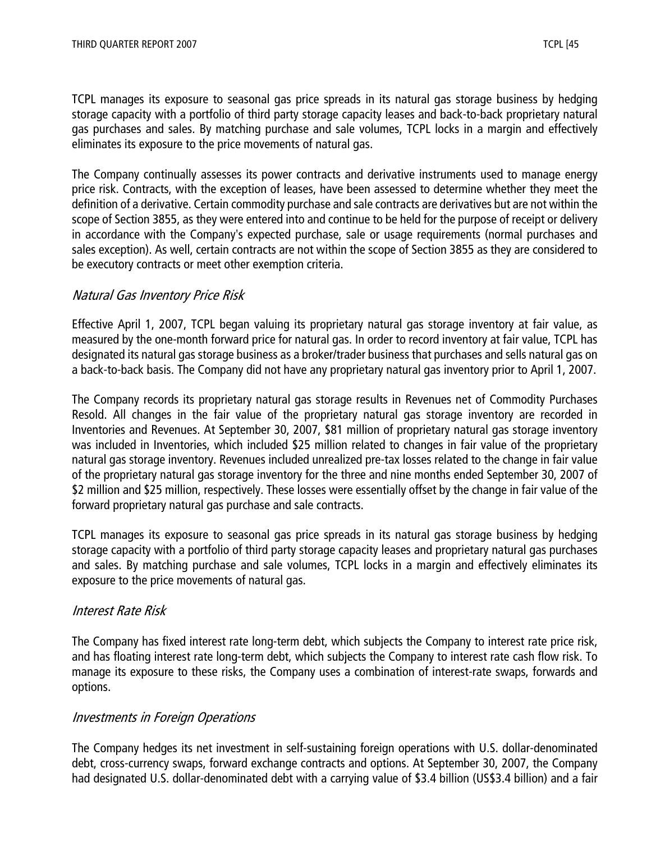TCPL manages its exposure to seasonal gas price spreads in its natural gas storage business by hedging storage capacity with a portfolio of third party storage capacity leases and back-to-back proprietary natural gas purchases and sales. By matching purchase and sale volumes, TCPL locks in a margin and effectively eliminates its exposure to the price movements of natural gas.

The Company continually assesses its power contracts and derivative instruments used to manage energy price risk. Contracts, with the exception of leases, have been assessed to determine whether they meet the definition of a derivative. Certain commodity purchase and sale contracts are derivatives but are not within the scope of Section 3855, as they were entered into and continue to be held for the purpose of receipt or delivery in accordance with the Company's expected purchase, sale or usage requirements (normal purchases and sales exception). As well, certain contracts are not within the scope of Section 3855 as they are considered to be executory contracts or meet other exemption criteria.

# Natural Gas Inventory Price Risk

Effective April 1, 2007, TCPL began valuing its proprietary natural gas storage inventory at fair value, as measured by the one-month forward price for natural gas. In order to record inventory at fair value, TCPL has designated its natural gas storage business as a broker/trader business that purchases and sells natural gas on a back-to-back basis. The Company did not have any proprietary natural gas inventory prior to April 1, 2007.

The Company records its proprietary natural gas storage results in Revenues net of Commodity Purchases Resold. All changes in the fair value of the proprietary natural gas storage inventory are recorded in Inventories and Revenues. At September 30, 2007, \$81 million of proprietary natural gas storage inventory was included in Inventories, which included \$25 million related to changes in fair value of the proprietary natural gas storage inventory. Revenues included unrealized pre-tax losses related to the change in fair value of the proprietary natural gas storage inventory for the three and nine months ended September 30, 2007 of \$2 million and \$25 million, respectively. These losses were essentially offset by the change in fair value of the forward proprietary natural gas purchase and sale contracts.

TCPL manages its exposure to seasonal gas price spreads in its natural gas storage business by hedging storage capacity with a portfolio of third party storage capacity leases and proprietary natural gas purchases and sales. By matching purchase and sale volumes, TCPL locks in a margin and effectively eliminates its exposure to the price movements of natural gas.

# Interest Rate Risk

The Company has fixed interest rate long-term debt, which subjects the Company to interest rate price risk, and has floating interest rate long-term debt, which subjects the Company to interest rate cash flow risk. To manage its exposure to these risks, the Company uses a combination of interest-rate swaps, forwards and options.

# Investments in Foreign Operations

The Company hedges its net investment in self-sustaining foreign operations with U.S. dollar-denominated debt, cross-currency swaps, forward exchange contracts and options. At September 30, 2007, the Company had designated U.S. dollar-denominated debt with a carrying value of \$3.4 billion (US\$3.4 billion) and a fair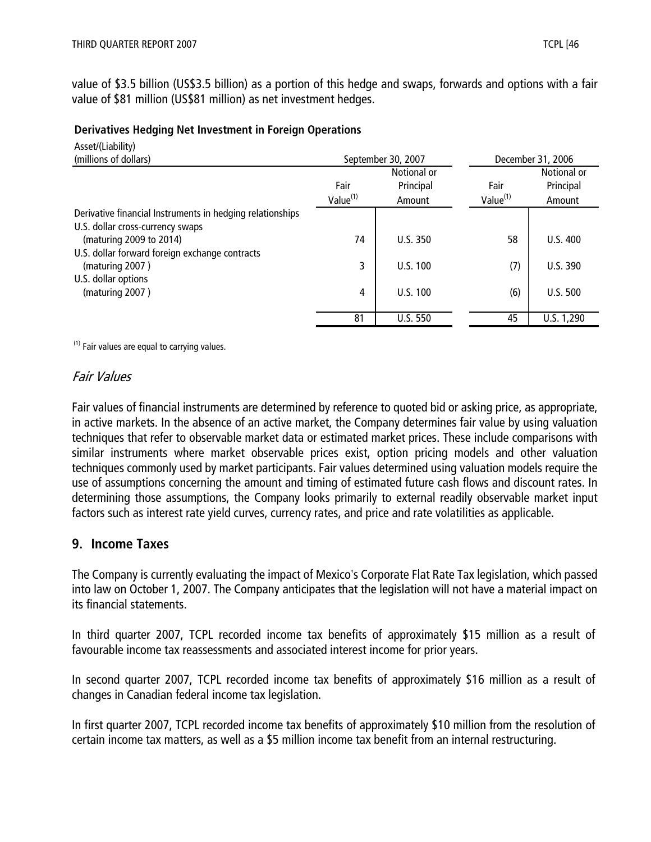value of \$3.5 billion (US\$3.5 billion) as a portion of this hedge and swaps, forwards and options with a fair value of \$81 million (US\$81 million) as net investment hedges.

#### **Derivatives Hedging Net Investment in Foreign Operations**

| Asset/(Liability)<br>(millions of dollars)                |                      | September 30, 2007 |                      | December 31, 2006 |
|-----------------------------------------------------------|----------------------|--------------------|----------------------|-------------------|
|                                                           |                      | Notional or        |                      | Notional or       |
|                                                           | Fair                 | Principal          | Fair                 | Principal         |
|                                                           | Value <sup>(1)</sup> | Amount             | Value <sup>(1)</sup> | Amount            |
| Derivative financial Instruments in hedging relationships |                      |                    |                      |                   |
| U.S. dollar cross-currency swaps                          |                      |                    |                      |                   |
| (maturing 2009 to 2014)                                   | 74                   | U.S.350            | 58                   | U.S.400           |
| U.S. dollar forward foreign exchange contracts            |                      |                    |                      |                   |
| (maturing 2007)                                           | 3                    | U.S. 100           | (7)                  | U.S.390           |
| U.S. dollar options                                       |                      |                    |                      |                   |
| (maturing 2007)                                           | 4                    | U.S. 100           | (6)                  | U.S. 500          |
|                                                           |                      |                    |                      |                   |
|                                                           | 81                   | <b>U.S. 550</b>    | 45                   | U.S. 1,290        |

 $(1)$  Fair values are equal to carrying values.

## Fair Values

Fair values of financial instruments are determined by reference to quoted bid or asking price, as appropriate, in active markets. In the absence of an active market, the Company determines fair value by using valuation techniques that refer to observable market data or estimated market prices. These include comparisons with similar instruments where market observable prices exist, option pricing models and other valuation techniques commonly used by market participants. Fair values determined using valuation models require the use of assumptions concerning the amount and timing of estimated future cash flows and discount rates. In determining those assumptions, the Company looks primarily to external readily observable market input factors such as interest rate yield curves, currency rates, and price and rate volatilities as applicable.

# **9. Income Taxes**

The Company is currently evaluating the impact of Mexico's Corporate Flat Rate Tax legislation, which passed into law on October 1, 2007. The Company anticipates that the legislation will not have a material impact on its financial statements.

In third quarter 2007, TCPL recorded income tax benefits of approximately \$15 million as a result of favourable income tax reassessments and associated interest income for prior years.

In second quarter 2007, TCPL recorded income tax benefits of approximately \$16 million as a result of changes in Canadian federal income tax legislation.

In first quarter 2007, TCPL recorded income tax benefits of approximately \$10 million from the resolution of certain income tax matters, as well as a \$5 million income tax benefit from an internal restructuring.